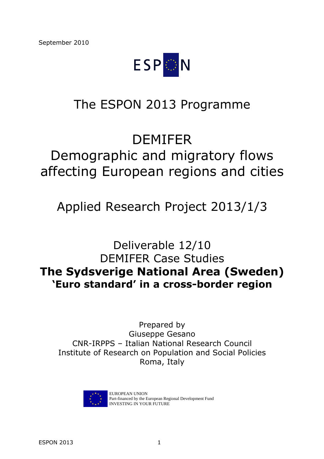

# The ESPON 2013 Programme

# DEMIFER Demographic and migratory flows affecting European regions and cities

# Applied Research Project 2013/1/3

Deliverable 12/10 DEMIFER Case Studies **The Sydsverige National Area (Sweden) 'Euro standard' in a cross-border region** 

Prepared by Giuseppe Gesano CNR-IRPPS – Italian National Research Council Institute of Research on Population and Social Policies Roma, Italy



EUROPEAN UNION Part-financed by the European Regional Development Fund INVESTING IN YOUR FUTURE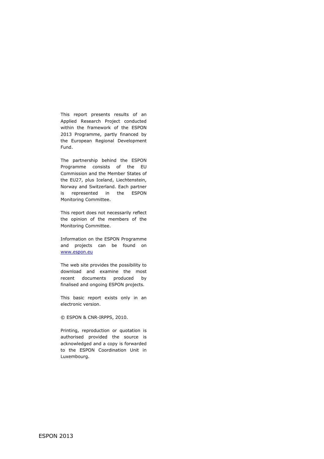This report presents results of an Applied Research Project conducted within the framework of the ESPON 2013 Programme, partly financed by the European Regional Development Fund.

The partnership behind the ESPON Programme consists of the EU Commission and the Member States of the EU27, plus Iceland, Liechtenstein, Norway and Switzerland. Each partner is represented in the ESPON Monitoring Committee.

This report does not necessarily reflect the opinion of the members of the Monitoring Committee.

Information on the ESPON Programme and projects can be found on www.espon.eu

The web site provides the possibility to download and examine the most recent documents produced by finalised and ongoing ESPON projects.

This basic report exists only in an electronic version.

© ESPON & CNR-IRPPS, 2010.

Printing, reproduction or quotation is authorised provided the source is acknowledged and a copy is forwarded to the ESPON Coordination Unit in Luxembourg.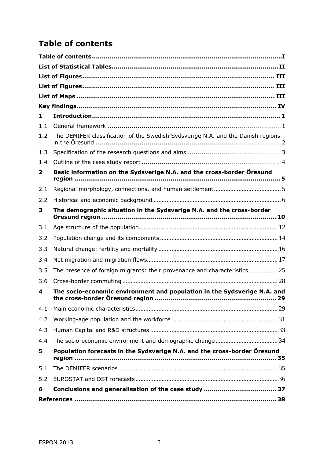# **Table of contents**

| 1            |                                                                                                                           |  |
|--------------|---------------------------------------------------------------------------------------------------------------------------|--|
| 1.1          |                                                                                                                           |  |
| 1.2          | The DEMIFER classification of the Swedish Sydsverige N.A. and the Danish regions                                          |  |
| 1.3          |                                                                                                                           |  |
| 1.4          |                                                                                                                           |  |
| $\mathbf{2}$ | Basic information on the Sydsverige N.A. and the cross-border Öresund                                                     |  |
| 2.1          |                                                                                                                           |  |
| 2.2          |                                                                                                                           |  |
| 3            | The demographic situation in the Sydsverige N.A. and the cross-border<br>Öresund region ……………………………………………………………………………… 10 |  |
| 3.1          |                                                                                                                           |  |
| 3.2          |                                                                                                                           |  |
| 3.3          |                                                                                                                           |  |
| 3.4          |                                                                                                                           |  |
| 3.5          | The presence of foreign migrants: their provenance and characteristics 25                                                 |  |
| 3.6          |                                                                                                                           |  |
| 4            | The socio-economic environment and population in the Sydsverige N.A. and                                                  |  |
| 4.1          |                                                                                                                           |  |
| 4.2          |                                                                                                                           |  |
| 4.3          |                                                                                                                           |  |
| 4.4          |                                                                                                                           |  |
| 5            | Population forecasts in the Sydsverige N.A. and the cross-border Öresund                                                  |  |
| 5.1          |                                                                                                                           |  |
| 5.2          |                                                                                                                           |  |
| 6            |                                                                                                                           |  |
|              |                                                                                                                           |  |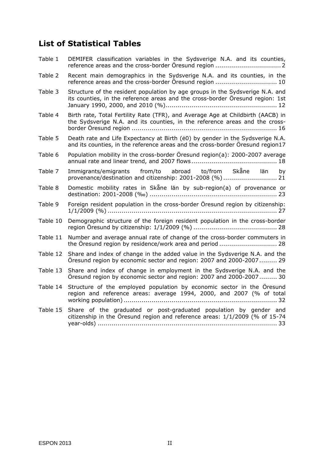## **List of Statistical Tables**

| Table 1  | DEMIFER classification variables in the Sydsverige N.A. and its counties,                                                                                       |
|----------|-----------------------------------------------------------------------------------------------------------------------------------------------------------------|
| Table 2  | Recent main demographics in the Sydsverige N.A. and its counties, in the<br>reference areas and the cross-border Öresund region  10                             |
| Table 3  | Structure of the resident population by age groups in the Sydsverige N.A. and<br>its counties, in the reference areas and the cross-border Öresund region: 1st  |
| Table 4  | Birth rate, Total Fertility Rate (TFR), and Average Age at Childbirth (AACB) in<br>the Sydsverige N.A. and its counties, in the reference areas and the cross-  |
| Table 5  | Death rate and Life Expectancy at Birth (e0) by gender in the Sydsverige N.A.<br>and its counties, in the reference areas and the cross-border Öresund region17 |
| Table 6  | Population mobility in the cross-border Öresund region(a): 2000-2007 average                                                                                    |
| Table 7  | Immigrants/emigrants from/to abroad to/from Skåne län by<br>provenance/destination and citizenship: 2001-2008 (%) 21                                            |
| Table 8  | Domestic mobility rates in Skåne län by sub-region(a) of provenance or                                                                                          |
| Table 9  | Foreign resident population in the cross-border Öresund region by citizenship:<br>1/1/2009 (%) …………………………………………………………………………… 27                                 |
| Table 10 | Demographic structure of the foreign resident population in the cross-border                                                                                    |
| Table 11 | Number and average annual rate of change of the cross-border commuters in                                                                                       |
| Table 12 | Share and index of change in the added value in the Sydsverige N.A. and the<br>Öresund region by economic sector and region: 2007 and 2000-2007 29              |
| Table 13 | Share and index of change in employment in the Sydsverige N.A. and the<br>Öresund region by economic sector and region: 2007 and 2000-2007 30                   |
| Table 14 | Structure of the employed population by economic sector in the Öresund<br>region and reference areas: average 1994, 2000, and 2007 (% of total                  |
| Table 15 | Share of the graduated or post-graduated population by gender and<br>citizenship in the Öresund region and reference areas: $1/1/2009$ (% of 15-74              |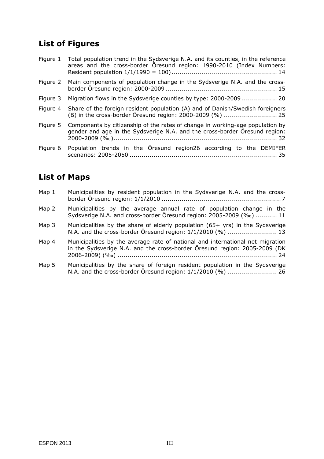# **List of Figures**

| Figure 1 | Total population trend in the Sydsverige N.A. and its counties, in the reference<br>areas and the cross-border Öresund region: 1990-2010 (Index Numbers:    |
|----------|-------------------------------------------------------------------------------------------------------------------------------------------------------------|
| Figure 2 | Main components of population change in the Sydsverige N.A. and the cross-                                                                                  |
| Figure 3 | Migration flows in the Sydsverige counties by type: 2000-2009 20                                                                                            |
| Figure 4 | Share of the foreign resident population (A) and of Danish/Swedish foreigners                                                                               |
| Figure 5 | Components by citizenship of the rates of change in working-age population by<br>gender and age in the Sydsverige N.A. and the cross-border Öresund region: |
| Figure 6 | Population trends in the Öresund region26 according to the DEMIFER                                                                                          |

# **List of Maps**

| Map 1 | Municipalities by resident population in the Sydsverige N.A. and the cross-                                                                                 |
|-------|-------------------------------------------------------------------------------------------------------------------------------------------------------------|
| Map 2 | Municipalities by the average annual rate of population change in the<br>Sydsverige N.A. and cross-border Öresund region: 2005-2009 (‰)  11                 |
| Map 3 | Municipalities by the share of elderly population (65+ yrs) in the Sydsverige<br>N.A. and the cross-border Öresund region: 1/1/2010 (%)  13                 |
| Map 4 | Municipalities by the average rate of national and international net migration<br>in the Sydsverige N.A. and the cross-border Öresund region: 2005-2009 (DK |

Map 5 Municipalities by the share of foreign resident population in the Sydsverige N.A. and the cross-border Öresund region: 1/1/2010 (%) ......................... 26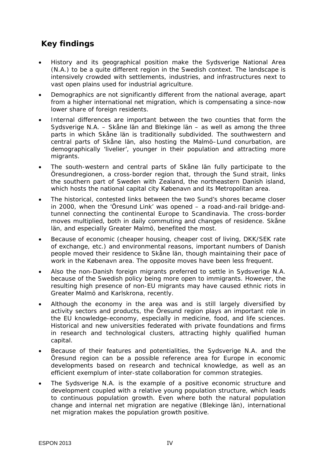## *Key findings*

- *History and its geographical position make the Sydsverige National Area (N.A.) to be a quite different region in the Swedish context. The landscape is intensively crowded with settlements, industries, and infrastructures next to vast open plains used for industrial agriculture.*
- *Demographics are not significantly different from the national average, apart from a higher international net migration, which is compensating a since-now lower share of foreign residents.*
- *Internal differences are important between the two counties that form the Sydsverige N.A. – Skåne län and Blekinge län – as well as among the three parts in which Skåne län is traditionally subdivided. The southwestern and central parts of Skåne län, also hosting the Malmö–Lund conurbation, are demographically 'livelier', younger in their population and attracting more migrants.*
- *The south-western and central parts of Skåne län fully participate to the Öresundregionen, a cross-border region that, through the Sund strait, links the southern part of Sweden with Zealand, the northeastern Danish island, which hosts the national capital city Købenavn and its Metropolitan area.*
- *The historical, contested links between the two Sund's shores became closer in 2000, when the 'Öresund Link' was opened – a road-and-rail bridge-andtunnel connecting the continental Europe to Scandinavia. The cross-border moves multiplied, both in daily commuting and changes of residence. Skåne län, and especially Greater Malmö, benefited the most.*
- *Because of economic (cheaper housing, cheaper cost of living, DKK/SEK rate of exchange, etc.) and environmental reasons, important numbers of Danish people moved their residence to Skåne län, though maintaining their pace of work in the Købenavn area. The opposite moves have been less frequent.*
- *Also the non-Danish foreign migrants preferred to settle in Sydsverige N.A. because of the Swedish policy being more open to immigrants. However, the resulting high presence of non-EU migrants may have caused ethnic riots in Greater Malmö and Karlskrona, recently.*
- *Although the economy in the area was and is still largely diversified by activity sectors and products, the Öresund region plays an important role in the EU knowledge-economy, especially in medicine, food, and life sciences. Historical and new universities federated with private foundations and firms in research and technological clusters, attracting highly qualified human capital.*
- *Because of their features and potentialities, the Sydsverige N.A. and the Öresund region can be a possible reference area for Europe in economic developments based on research and technical knowledge, as well as an efficient exemplum of inter-state collaboration for common strategies.*
- *The Sydsverige N.A. is the example of a positive economic structure and development coupled with a relative young population structure, which leads to continuous population growth. Even where both the natural population change and internal net migration are negative (Blekinge län), international net migration makes the population growth positive.*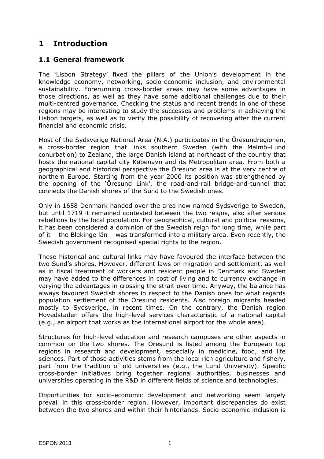## **1 Introduction**

#### **1.1 General framework**

The 'Lisbon Strategy' fixed the pillars of the Union's development in the knowledge economy, networking, socio-economic inclusion, and environmental sustainability. Forerunning cross-border areas may have some advantages in those directions, as well as they have some additional challenges due to their multi-centred governance. Checking the status and recent trends in one of these regions may be interesting to study the successes and problems in achieving the Lisbon targets, as well as to verify the possibility of recovering after the current financial and economic crisis.

Most of the Sydsverige National Area (N.A.) participates in the Öresundregionen, a cross-border region that links southern Sweden (with the Malmö–Lund conurbation) to Zealand, the large Danish island at northeast of the country that hosts the national capital city Købenavn and its Metropolitan area. From both a geographical and historical perspective the Öresund area is at the very centre of northern Europe. Starting from the year 2000 its position was strengthened by the opening of the 'Öresund Link', the road-and-rail bridge-and-tunnel that connects the Danish shores of the Sund to the Swedish ones.

Only in 1658 Denmark handed over the area now named Sydsverige to Sweden, but until 1719 it remained contested between the two reigns, also after serious rebellions by the local population. For geographical, cultural and political reasons, it has been considered a dominion of the Swedish reign for long time, while part of it – the Blekinge län – was transformed into a military area. Even recently, the Swedish government recognised special rights to the region.

These historical and cultural links may have favoured the interface between the two Sund's shores. However, different laws on migration and settlement, as well as in fiscal treatment of workers and resident people in Denmark and Sweden may have added to the differences in cost of living and to currency exchange in varying the advantages in crossing the strait over time. Anyway, the balance has always favoured Swedish shores in respect to the Danish ones for what regards population settlement of the Öresund residents. Also foreign migrants headed mostly to Sydsverige, in recent times. On the contrary, the Danish region Hovedstaden offers the high-level services characteristic of a national capital (e.g., an airport that works as the international airport for the whole area).

Structures for high-level education and research campuses are other aspects in common on the two shores. The Öresund is listed among the European top regions in research and development, especially in medicine, food, and life sciences. Part of those activities stems from the local rich agriculture and fishery, part from the tradition of old universities (e.g., the Lund University). Specific cross-border initiatives bring together regional authorities, businesses and universities operating in the R&D in different fields of science and technologies.

Opportunities for socio-economic development and networking seem largely prevail in this cross-border region. However, important discrepancies do exist between the two shores and within their hinterlands. Socio-economic inclusion is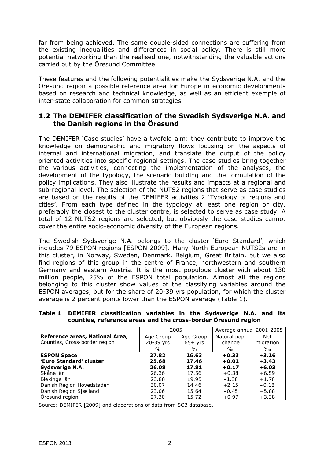far from being achieved. The same double-sided connections are suffering from the existing inequalities and differences in social policy. There is still more potential networking than the realised one, notwithstanding the valuable actions carried out by the Öresund Committee.

These features and the following potentialities make the Sydsverige N.A. and the Öresund region a possible reference area for Europe in economic developments based on research and technical knowledge, as well as an efficient exemple of inter-state collaboration for common strategies.

#### **1.2 The DEMIFER classification of the Swedish Sydsverige N.A. and the Danish regions in the Öresund**

The DEMIFER 'Case studies' have a twofold aim: they contribute to improve the knowledge on demographic and migratory flows focusing on the aspects of internal and international migration, and translate the output of the policy oriented activities into specific regional settings. The case studies bring together the various activities, connecting the implementation of the analyses, the development of the typology, the scenario building and the formulation of the policy implications. They also illustrate the results and impacts at a regional and sub-regional level. The selection of the NUTS2 regions that serve as case studies are based on the results of the DEMIFER activities 2 'Typology of regions and cities'. From each type defined in the typology at least one region or city, preferably the closest to the cluster centre, is selected to serve as case study. A total of 12 NUTS2 regions are selected, but obviously the case studies cannot cover the entire socio-economic diversity of the European regions.

The Swedish Sydsverige N.A. belongs to the cluster 'Euro Standard', which includes 79 ESPON regions [ESPON 2009]. Many North European NUTS2s are in this cluster, in Norway, Sweden, Denmark, Belgium, Great Britain, but we also find regions of this group in the centre of France, northwestern and southern Germany and eastern Austria. It is the most populous cluster with about 130 million people, 25% of the ESPON total population. Almost all the regions belonging to this cluster show values of the classifying variables around the ESPON averages, but for the share of 20-39 yrs population, for which the cluster average is 2 percent points lower than the ESPON average (Table 1).

|                                 |           | 2005      | Average annual 2001-2005 |           |  |
|---------------------------------|-----------|-----------|--------------------------|-----------|--|
| Reference areas, National Area, | Age Group | Age Group | Natural pop.             | Net       |  |
| Counties, Cross-border region   | 20-39 yrs | $65+$ yrs | change                   | migration |  |
|                                 | $\%$      | $\%$      | $\%$                     | $\%$ o    |  |
| <b>ESPON Space</b>              | 27.82     | 16.63     | $+0.33$                  | $+3.16$   |  |
| 'Euro Standard' cluster         | 25.68     | 17.46     | $+0.01$                  | $+3.43$   |  |
| Sydsverige N.A.                 | 26.08     | 17.81     | $+0.17$                  | $+6.03$   |  |
| Skåne län                       | 26.36     | 17.56     | $+0.38$                  | $+6.59$   |  |
| Blekinge län                    | 23.88     | 19.95     | $-1.38$                  | $+1.78$   |  |
| Danish Region Hovedstaden       | 30.07     | 14.46     | $+2.15$                  | $-0.18$   |  |
| Danish Region Sjælland          | 23.06     | 15.64     | $-0.45$                  | $+5.88$   |  |
| Öresund region                  | 27.30     | 15.72     | $+0.97$                  | $+3.38$   |  |

**Table 1 DEMIFER classification variables in the Sydsverige N.A. and its counties, reference areas and the cross-border Öresund region** 

*Source*: DEMIFER [2009] and elaborations of data from SCB database.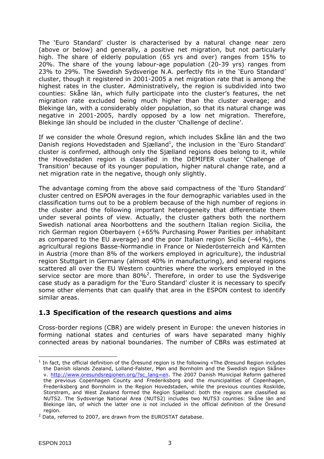The 'Euro Standard' cluster is characterised by a natural change near zero (above or below) and generally, a positive net migration, but not particularly high. The share of elderly population (65 yrs and over) ranges from 15% to 20%. The share of the young labour-age population (20-39 yrs) ranges from 23% to 29%. The Swedish Sydsverige N.A. perfectly fits in the 'Euro Standard' cluster, though it registered in 2001-2005 a net migration rate that is among the highest rates in the cluster. Administratively, the region is subdivided into two counties: Skåne län, which fully participate into the cluster's features, the net migration rate excluded being much higher than the cluster average; and Blekinge län, with a considerably older population, so that its natural change was negative in 2001-2005, hardly opposed by a low net migration. Therefore, Blekinge län should be included in the cluster 'Challenge of decline'.

If we consider the whole Öresund region, which includes Skåne län and the two Danish regions Hovedstaden and Sjælland<sup>1</sup>, the inclusion in the 'Euro Standard' cluster is confirmed, although only the Sjælland regions does belong to it, while the Hovedstaden region is classified in the DEMIFER cluster 'Challenge of Transition' because of its younger population, higher natural change rate, and a net migration rate in the negative, though only slightly.

The advantage coming from the above said compactness of the 'Euro Standard' cluster centred on ESPON averages in the four demographic variables used in the classification turns out to be a problem because of the high number of regions in the cluster and the following important heterogeneity that differentiate them under several points of view. Actually, the cluster gathers both the northern Swedish national area Noorbottens and the southern Italian region Sicilia, the rich German region Oberbayern (+65% Purchasing Power Parities per inhabitant as compared to the EU average) and the poor Italian region Sicilia (–44%), the agricultural regions Basse-Normandie in France or Niederösterreich and Kärnten in Austria (more than 8% of the workers employed in agriculture), the industrial region Stuttgart in Germany (almost 40% in manufacturing), and several regions scattered all over the EU Western countries where the workers employed in the service sector are more than  $80\%$ <sup>2</sup>. Therefore, in order to use the Sydsverige case study as a paradigm for the 'Euro Standard' cluster it is necessary to specify some other elements that can qualify that area in the ESPON contest to identify similar areas.

### **1.3 Specification of the research questions and aims**

Cross-border regions (CBR) are widely present in Europe: the uneven histories in forming national states and centuries of wars have separated many highly connected areas by national boundaries. The number of CBRs was estimated at

 $\overline{a}$ <sup>1</sup> In fact, the official definition of the Öresund region is the following «The Øresund Region includes the Danish islands Zealand, Lolland-Falster, Møn and Bornholm and the Swedish region Skåne» v. http://www.oresundsregionen.org/?sc\_lang=en. The 2007 Danish Municipal Reform gathered the previous Copenhagen County and Frederiksborg and the municipalities of Copenhagen, Frederiksberg and Bornholm in the Region Hovedstaden, while the previous counties Roskilde, Storstrøm, and West Zealand formed the Region Sjælland: both the regions are classified as NUTS2. The Sydsverige National Area (NUTS2) includes two NUTS3 counties: Skåne län and Blekinge län, of which the latter one is not included in the official definition of the Öresund region.

 $2$  Data, referred to 2007, are drawn from the EUROSTAT database.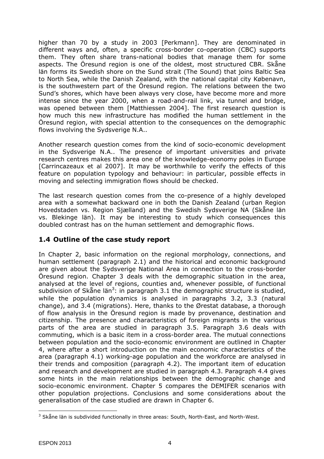higher than 70 by a study in 2003 [Perkmann]. They are denominated in different ways and, often, a specific cross-border co-operation (CBC) supports them. They often share trans-national bodies that manage them for some aspects. The Öresund region is one of the oldest, most structured CBR. Skåne län forms its Swedish shore on the Sund strait (The Sound) that joins Baltic Sea to North Sea, while the Danish Zealand, with the national capital city Købenavn, is the southwestern part of the Öresund region. The relations between the two Sund's shores, which have been always very close, have become more and more intense since the year 2000, when a road-and-rail link, via tunnel and bridge, was opened between them [Matthiessen 2004]. The first research question is how much this new infrastructure has modified the human settlement in the Öresund region, with special attention to the consequences on the demographic flows involving the Sydsverige N.A..

Another research question comes from the kind of socio-economic development in the Sydsverige N.A.. The presence of important universities and private research centres makes this area one of the knowledge-economy poles in Europe [Carrincazeaux *et al* 2007]. It may be worthwhile to verify the effects of this feature on population typology and behaviour: in particular, possible effects in moving and selecting immigration flows should be checked.

The last research question comes from the co-presence of a highly developed area with a somewhat backward one in both the Danish Zealand (urban Region Hovedstaden vs. Region Sjælland) and the Swedish Sydsverige NA (Skåne län vs. Blekinge län). It may be interesting to study which consequences this doubled contrast has on the human settlement and demographic flows.

#### **1.4 Outline of the case study report**

In Chapter 2, basic information on the regional morphology, connections, and human settlement (paragraph 2.1) and the historical and economic background are given about the Sydsverige National Area in connection to the cross-border Öresund region. Chapter 3 deals with the demographic situation in the area, analysed at the level of regions, counties and, whenever possible, of functional subdivision of Skåne län<sup>3</sup>: in paragraph 3.1 the demographic structure is studied, while the population dynamics is analysed in paragraphs 3.2, 3.3 (natural change), and 3.4 (migrations). Here, thanks to the Ørestat database, a thorough of flow analysis in the Öresund region is made by provenance, destination and citizenship. The presence and characteristics of foreign migrants in the various parts of the area are studied in paragraph 3.5. Paragraph 3.6 deals with commuting, which is a basic item in a cross-border area. The mutual connections between population and the socio-economic environment are outlined in Chapter 4, where after a short introduction on the main economic characteristics of the area (paragraph 4.1) working-age population and the workforce are analysed in their trends and composition (paragraph 4.2). The important item of education and research and development are studied in paragraph 4.3. Paragraph 4.4 gives some hints in the main relationships between the demographic change and socio-economic environment. Chapter 5 compares the DEMIFER scenarios with other population projections. Conclusions and some considerations about the generalisation of the case studied are drawn in Chapter 6.

 $\overline{a}$ <sup>3</sup> Skåne län is subdivided functionally in three areas: South, North-East, and North-West.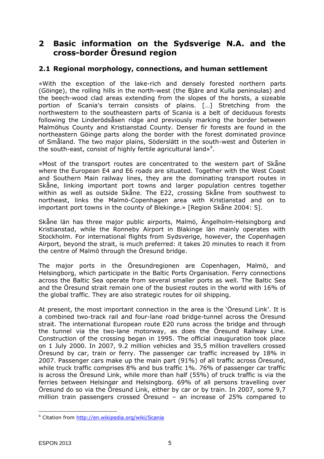## **2 Basic information on the Sydsverige N.A. and the cross-border Öresund region**

#### **2.1 Regional morphology, connections, and human settlement**

«With the exception of the lake-rich and densely forested northern parts (Göinge), the rolling hills in the north-west (the Bjäre and Kulla peninsulas) and the beech-wood clad areas extending from the slopes of the horsts, a sizeable portion of Scania's terrain consists of plains. […] Stretching from the northwestern to the southeastern parts of Scania is a belt of deciduous forests following the Linderödsåsen ridge and previously marking the border between Malmöhus County and Kristianstad County. Denser fir forests are found in the northeastern Göinge parts along the border with the forest dominated province of Småland. The two major plains, Söderslätt in the south-west and Österlen in the south-east, consist of highly fertile agricultural land»<sup>4</sup>.

«Most of the transport routes are concentrated to the western part of Skåne where the European E4 and E6 roads are situated. Together with the West Coast and Southern Main railway lines, they are the dominating transport routes in Skåne, linking important port towns and larger population centres together within as well as outside Skåne. The E22, crossing Skåne from southwest to northeast, links the Malmö-Copenhagen area with Kristianstad and on to important port towns in the county of Blekinge.» [Region Skåne 2004: 5].

Skåne län has three major public airports, Malmö, Ängelholm-Helsingborg and Kristianstad, while the Ronneby Airport in Blakinge län mainly operates with Stockholm. For international flights from Sydsverige, however, the Copenhagen Airport, beyond the strait, is much preferred: it takes 20 minutes to reach it from the centre of Malmö through the Öresund bridge.

The major ports in the Öresundregionen are Copenhagen, Malmö, and Helsingborg, which participate in the Baltic Ports Organisation. Ferry connections across the Baltic Sea operate from several smaller ports as well. The Baltic Sea and the Öresund strait remain one of the busiest routes in the world with 16% of the global traffic. They are also strategic routes for oil shipping.

At present, the most important connection in the area is the 'Öresund Link'. It is a combined two-track rail and four-lane road bridge-tunnel across the Öresund strait. The international European route E20 runs across the bridge and through the tunnel via the two-lane motorway, as does the Öresund Railway Line. Construction of the crossing began in 1995. The official inauguration took place on 1 July 2000. In 2007, 9.2 million vehicles and 35,5 million travellers crossed Öresund by car, train or ferry. The passenger car traffic increased by 18% in 2007. Passenger cars make up the main part (91%) of all traffic across Öresund, while truck traffic comprises 8% and bus traffic 1%. 76% of passenger car traffic is across the Öresund Link, while more than half (55%) of truck traffic is via the ferries between Helsingør and Helsingborg. 69% of all persons travelling over Öresund do so via the Öresund Link, either by car or by train. In 2007, some 9,7 million train passengers crossed Öresund – an increase of 25% compared to

<sup>&</sup>lt;sup>4</sup> Citation from http://en.wikipedia.org/wiki/Scania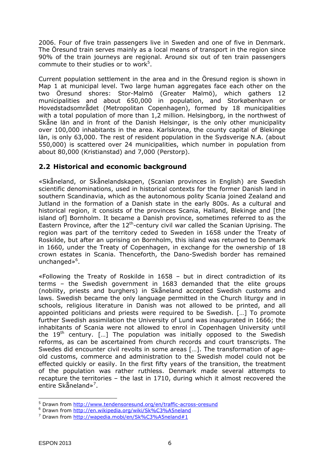2006. Four of five train passengers live in Sweden and one of five in Denmark. The Öresund train serves mainly as a local means of transport in the region since 90% of the train journeys are regional. Around six out of ten train passengers commute to their studies or to work<sup>5</sup>.

Current population settlement in the area and in the Öresund region is shown in Map 1 at municipal level. Two large human aggregates face each other on the two Öresund shores: Stor-Malmö (Greater Malmö), which gathers 12 municipalities and about 650,000 in population, and Storkøbenhavn or Hovedstadsområdet (Metropolitan Copenhagen), formed by 18 municipalities with a total population of more than 1,2 million. Helsingborg, in the northwest of Skåne län and in front of the Danish Helsingør, is the only other municipality over 100,000 inhabitants in the area. Karlskrona, the county capital of Blekinge län, is only 63,000. The rest of resident population in the Sydsverige N.A. (about 550,000) is scattered over 24 municipalities, which number in population from about 80,000 (Kristianstad) and 7,000 (Perstorp).

### **2.2 Historical and economic background**

«Skåneland, or Skånelandskapen, (Scanian provinces in English) are Swedish scientific denominations, used in historical contexts for the former Danish land in southern Scandinavia, which as the autonomous polity Scania joined Zealand and Jutland in the formation of a Danish state in the early 800s. As a cultural and historical region, it consists of the provinces Scania, Halland, Blekinge and [the island of] Bornholm. It became a Danish province, sometimes referred to as the Eastern Province, after the  $12<sup>th</sup>$ -century civil war called the Scanian Uprising. The region was part of the territory ceded to Sweden in 1658 under the Treaty of Roskilde, but after an uprising on Bornholm, this island was returned to Denmark in 1660, under the Treaty of Copenhagen, in exchange for the ownership of 18 crown estates in Scania. Thenceforth, the Dano-Swedish border has remained unchanged»<sup>6</sup>.

«Following the Treaty of Roskilde in 1658 – but in direct contradiction of its terms – the Swedish government in 1683 demanded that the elite groups (nobility, priests and burghers) in Skåneland accepted Swedish customs and laws. Swedish became the only language permitted in the Church liturgy and in schools, religious literature in Danish was not allowed to be printed, and all appointed politicians and priests were required to be Swedish. […] To promote further Swedish assimilation the University of Lund was inaugurated in 1666; the inhabitants of Scania were not allowed to enrol in Copenhagen University until the  $19<sup>th</sup>$  century. [...] The population was initially opposed to the Swedish reforms, as can be ascertained from church records and court transcripts. The Swedes did encounter civil revolts in some areas […]. The transformation of ageold customs, commerce and administration to the Swedish model could not be effected quickly or easily. In the first fifty years of the transition, the treatment of the population was rather ruthless. Denmark made several attempts to recapture the territories – the last in 1710, during which it almost recovered the entire Skåneland»<sup>7</sup>.

<sup>&</sup>lt;sup>5</sup> Drawn from http://www.tendensoresund.org/en/traffic-across-oresund

<sup>&</sup>lt;sup>6</sup> Drawn from http://en.wikipedia.org/wiki/Sk%C3%A5neland<br><sup>7</sup> Drawn from http://wapedia.mobi/on/Sk%C3%A5peland#1

<sup>&</sup>lt;sup>7</sup> Drawn from http://wapedia.mobi/en/Sk%C3%A5neland#1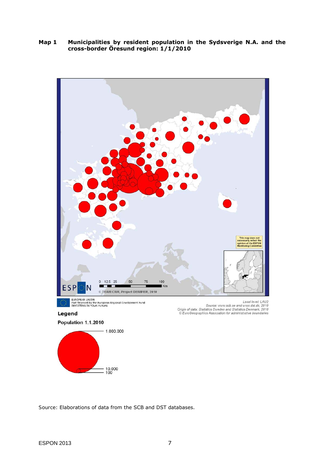**Map 1 Municipalities by resident population in the Sydsverige N.A. and the cross-border Öresund region: 1/1/2010** 



*Source*: Elaborations of data from the SCB and DST databases.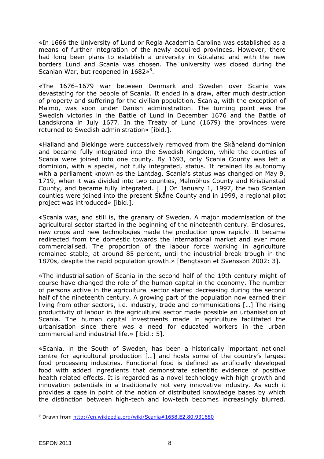«In 1666 the University of Lund or Regia Academia Carolina was established as a means of further integration of the newly acquired provinces. However, there had long been plans to establish a university in Götaland and with the new borders Lund and Scania was chosen. The university was closed during the Scanian War, but reopened in  $1682*^8$ .

«The 1676–1679 war between Denmark and Sweden over Scania was devastating for the people of Scania. It ended in a draw, after much destruction of property and suffering for the civilian population. Scania, with the exception of Malmö, was soon under Danish administration. The turning point was the Swedish victories in the Battle of Lund in December 1676 and the Battle of Landskrona in July 1677. In the Treaty of Lund (1679) the provinces were returned to Swedish administration» [*ibid.*].

«Halland and Blekinge were successively removed from the Skåneland dominion and became fully integrated into the Swedish Kingdom, while the counties of Scania were joined into one county. By 1693, only Scania County was left a dominion, with a special, not fully integrated, status. It retained its autonomy with a parliament known as the Lantdag. Scania's status was changed on May 9, 1719, when it was divided into two counties, Malmöhus County and Kristianstad County, and became fully integrated. […] On January 1, 1997, the two Scanian counties were joined into the present Skåne County and in 1999, a regional pilot project was introduced» [*ibid.*].

«Scania was, and still is, the granary of Sweden. A major modernisation of the agricultural sector started in the beginning of the nineteenth century. Enclosures, new crops and new technologies made the production grow rapidly. It became redirected from the domestic towards the international market and ever more commercialised. The proportion of the labour force working in agriculture remained stable, at around 85 percent, until the industrial break trough in the 1870s, despite the rapid population growth.» [Bengtsson *et* Svensson 2002: 3].

«The industrialisation of Scania in the second half of the 19th century might of course have changed the role of the human capital in the economy. The number of persons active in the agricultural sector started decreasing during the second half of the nineteenth century. A growing part of the population now earned their living from other sectors, i.e. industry, trade and communications […] The rising productivity of labour in the agricultural sector made possible an urbanisation of Scania. The human capital investments made in agriculture facilitated the urbanisation since there was a need for educated workers in the urban commercial and industrial life.» [*ibid*.: 5].

«Scania, in the South of Sweden, has been a historically important national centre for agricultural production […] and hosts some of the country's largest food processing industries. Functional food is defined as artificially developed food with added ingredients that demonstrate scientific evidence of positive health related effects. It is regarded as a novel technology with high growth and innovation potentials in a traditionally not very innovative industry. As such it provides a case in point of the notion of distributed knowledge bases by which the distinction between high-tech and low-tech becomes increasingly blurred.

 $\overline{a}$ <sup>8</sup> Drawn from http://en.wikipedia.org/wiki/Scania#1658.E2.80.931680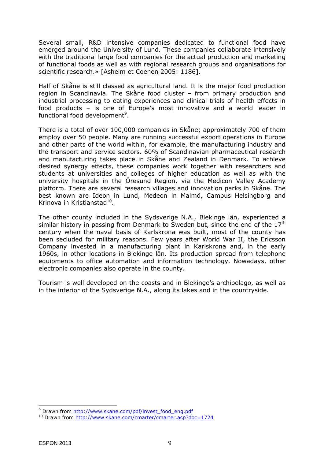Several small, R&D intensive companies dedicated to functional food have emerged around the University of Lund. These companies collaborate intensively with the traditional large food companies for the actual production and marketing of functional foods as well as with regional research groups and organisations for scientific research.» [Asheim *et* Coenen 2005: 1186].

Half of Skåne is still classed as agricultural land. It is the major food production region in Scandinavia. The Skåne food cluster – from primary production and industrial processing to eating experiences and clinical trials of health effects in food products – is one of Europe's most innovative and a world leader in functional food development<sup>9</sup>.

There is a total of over 100,000 companies in Skåne; approximately 700 of them employ over 50 people. Many are running successful export operations in Europe and other parts of the world within, for example, the manufacturing industry and the transport and service sectors. 60% of Scandinavian pharmaceutical research and manufacturing takes place in Skåne and Zealand in Denmark. To achieve desired synergy effects, these companies work together with researchers and students at universities and colleges of higher education as well as with the university hospitals in the Öresund Region, via the Medicon Valley Academy platform. There are several research villages and innovation parks in Skåne. The best known are Ideon in Lund, Medeon in Malmö, Campus Helsingborg and Krinova in Kristianstad<sup>10</sup>.

The other county included in the Sydsverige N.A., Blekinge län, experienced a similar history in passing from Denmark to Sweden but, since the end of the  $17<sup>th</sup>$ century when the naval basis of Karlskrona was built, most of the county has been secluded for military reasons. Few years after World War II, the Ericsson Company invested in a manufacturing plant in Karlskrona and, in the early 1960s, in other locations in Blekinge län. Its production spread from telephone equipments to office automation and information technology. Nowadays, other electronic companies also operate in the county.

Tourism is well developed on the coasts and in Blekinge's archipelago, as well as in the interior of the Sydsverige N.A., along its lakes and in the countryside.

 $\overline{a}$ <sup>9</sup> Drawn from http://www.skane.com/pdf/invest food eng.pdf

<sup>10</sup> Drawn from http://www.skane.com/cmarter/cmarter.asp?doc=1724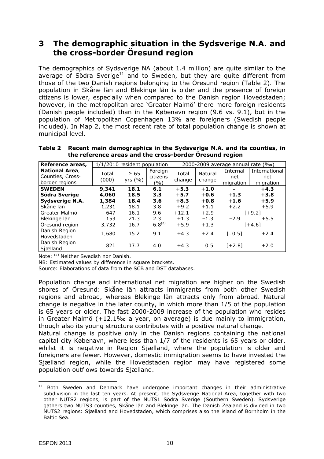## **3 The demographic situation in the Sydsverige N.A. and the cross-border Öresund region**

The demographics of Sydsverige NA (about 1.4 million) are quite similar to the average of Södra Sverige<sup>11</sup> and to Sweden, but they are quite different from those of the two Danish regions belonging to the Öresund region (Table 2). The population in Skåne län and Blekinge län is older and the presence of foreign citizens is lower, especially when compared to the Danish region Hovedstaden; however, in the metropolitan area 'Greater Malmö' there more foreign residents (Danish people included) than in the Købenavn region (9.6 vs. 9.1), but in the population of Metropolitan Copenhagen 13% are foreigners (Swedish people included). In Map 2, the most recent rate of total population change is shown at municipal level.

| Reference areas,      | 1/1/2010 resident population |           |             | 2000-2009 average annual rate (%o) |         |            |               |  |
|-----------------------|------------------------------|-----------|-------------|------------------------------------|---------|------------|---------------|--|
| <b>National Area,</b> | Total                        | $\geq 65$ | Foreign     | Total                              | Natural | Internal   | International |  |
| Counties, Cross-      | (000)                        | yrs $(%$  | citizens    | change                             | change  | net        | net           |  |
| border regions        |                              |           | (%)         |                                    |         | migration  | migration     |  |
| <b>SWEDEN</b>         | 9,341                        | 18.1      | 6.1         | $+5.3$                             | $+1.0$  |            | $+4.3$        |  |
| Södra Sverige         | 4,060                        | 18.5      | 3.3         | $+5.7$                             | $+0.6$  | $+1.3$     | $+3.8$        |  |
| Sydsverige N.A.       | 1,384                        | 18.4      | 3.6         | $+8.3$                             | $+0.8$  | $+1.6$     | $+5.9$        |  |
| Skåne län             | 1,231                        | 18.1      | 3.8         | $+9.2$                             | $+1.1$  | $+2.2$     | $+5.9$        |  |
| Greater Malmö         | 647                          | 16.1      | 9.6         | $+12.1$                            | $+2.9$  |            | $1 + 9.21$    |  |
| Blekinge län          | 153                          | 21.3      | 2.3         | $+1.3$                             | $-1.3$  | $-2.9$     | $+5.5$        |  |
| Öresund region        | 3.732                        | 16.7      | $6.8^{(a)}$ | $+5.9$                             | $+1.3$  |            | $[+4.6]$      |  |
| Danish Region         | 1.680                        | 15.2      | 9.1         | $+4.3$                             | $+2.4$  | $I - 0.5I$ | $+2.4$        |  |
| Hovedstaden           |                              |           |             |                                    |         |            |               |  |
| Danish Region         | 821                          | 17.7      | 4.0         | $+4.3$                             | $-0.5$  | $[+2.8]$   | $+2.0$        |  |
| Sjælland              |                              |           |             |                                    |         |            |               |  |

| Table 2 Recent main demographics in the Sydsverige N.A. and its counties, in |
|------------------------------------------------------------------------------|
| the reference areas and the cross-border Öresund region                      |

*Note*: <sup>(a)</sup> Neither Swedish nor Danish.

*NB*: Estimated values by difference in square brackets.

*Source*: Elaborations of data from the SCB and DST databases.

Population change and international net migration are higher on the Swedish shores of Öresund: Skåne län attracts immigrants from both other Swedish regions and abroad, whereas Blekinge län attracts only from abroad. Natural change is negative in the later county, in which more than 1/5 of the population is 65 years or older. The fast 2000-2009 increase of the population who resides in Greater Malmö (+12.1‰ a year, on average) is due mainly to immigration, though also its young structure contributes with a positive natural change.

Natural change is positive only in the Danish regions containing the national capital city Købenavn, where less than 1/7 of the residents is 65 years or older, whilst it is negative in Region Sjælland, where the population is older and foreigners are fewer. However, domestic immigration seems to have invested the Sjælland region, while the Hovedstaden region may have registered some population outflows towards Sjælland.

 $11$  Both Sweden and Denmark have undergone important changes in their administrative subdivision in the last ten years. At present, the Sydsverige National Area, together with two other NUTS2 regions, is part of the NUTS1 Södra Sverige (Southern Sweden). Sydsverige gathers two NUTS3 counties, Skåne län and Blekinge län. The Danish Zealand is divided in two NUTS2 regions: Sjælland and Hovedstaden, which comprises also the island of Bornholm in the Baltic Sea.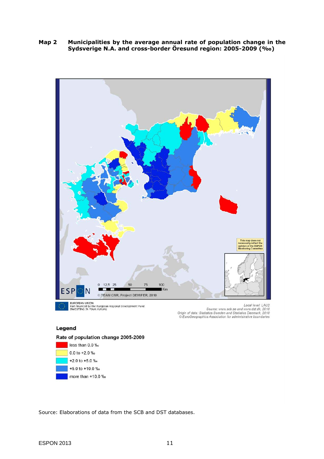**Map 2 Municipalities by the average annual rate of population change in the Sydsverige N.A. and cross-border Öresund region: 2005-2009 (‰)** 



Source: www.scb.se and www.dst.dk, 2010<br>Origin of data: Statistics Sweden and Statistics Denmark, 2010<br>EuroGeographics Association for administrative boundaries

#### Legend

#### Rate of population change 2005-2009



*Source*: Elaborations of data from the SCB and DST databases.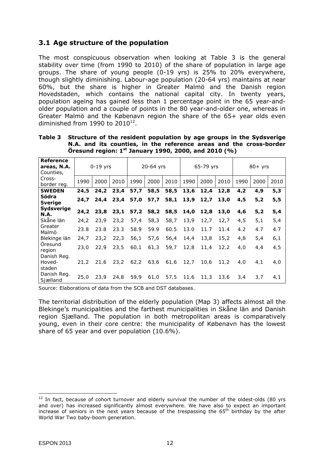### **3.1 Age structure of the population**

The most conspicuous observation when looking at Table 3 is the general stability over time (from 1990 to 2010) of the share of population in large age groups. The share of young people (0-19 yrs) is 25% to 20% everywhere, though slightly diminishing. Labour-age population (20-64 yrs) maintains at near 60%, but the share is higher in Greater Malmö and the Danish region Hovedstaden, which contains the national capital city. In twenty years, population ageing has gained less than 1 percentage point in the 65 year-andolder population and a couple of points in the 80 year-and-older one, whereas in Greater Malmö and the Købenavn region the share of the 65+ year olds even diminished from 1990 to  $2010^{12}$ .

| Reference<br>areas, N.A.<br>Counties, | $0-19$ yrs  |      |      | 20-64 yrs |      |      | 65-79 yrs |      |      | $80+$ yrs |      |      |
|---------------------------------------|-------------|------|------|-----------|------|------|-----------|------|------|-----------|------|------|
| Cross-<br>border reg.                 | 1990        | 2000 | 2010 | 1990      | 2000 | 2010 | 1990      | 2000 | 2010 | 1990      | 2000 | 2010 |
| <b>SWEDEN</b>                         | 24,5        | 24,2 | 23,4 | 57,7      | 58,5 | 58,5 | 13,6      | 12,4 | 12,8 | 4,2       | 4,9  | 5,3  |
| Södra<br><b>Sverige</b>               | 24.7        | 24.4 | 23,4 | 57,0      | 57,7 | 58,1 | 13, 9     | 12,7 | 13,0 | 4,5       | 5,2  | 5,5  |
| Sydsverige<br><b>N.A.</b>             | 24,2        | 23,8 | 23,1 | 57,2      | 58,2 | 58,5 | 14,0      | 12,8 | 13,0 | 4,6       | 5,2  | 5,4  |
| Skåne län                             | 24,2        | 23,9 | 23,2 | 57,4      | 58,3 | 58,7 | 13,9      | 12,7 | 12,7 | 4,5       | 5,1  | 5,4  |
| Greater<br>Malmö                      | 23.8        | 23.8 | 23.3 | 58.9      | 59.9 | 60.5 | 13.0      | 11.7 | 11.4 | 4.2       | 4.7  | 4.7  |
| Blekinge län                          | 24,7        | 23,2 | 22,3 | 56,1      | 57,6 | 56,4 | 14,4      | 13,8 | 15,2 | 4,8       | 5,4  | 6,1  |
| Öresund<br>region                     | <i>23,0</i> | 22,9 | 23,5 | 60,1      | 61,3 | 59,7 | 12,8      | 11,4 | 12,2 | 4,0       | 4, 4 | 4,5  |
| Danish Reg.<br>Hoved-                 | 21,2        | 21,6 | 23,2 | 62,2      | 63,6 | 61,6 | 12, 7     | 10,6 | 11,2 | 4,0       | 4, 1 | 4,0  |
| staden<br>Danish Req.<br>Sjælland     | 25.0        | 23.9 | 24.8 | 59.9      | 61,0 | 57,5 | 11,6      | 11,3 | 13,6 | 3,4       | 3,7  | 4,1  |

**Table 3 Structure of the resident population by age groups in the Sydsverige N.A. and its counties, in the reference areas and the cross-border Öresund region: 1st January 1990, 2000, and 2010 (%)** 

*Source*: Elaborations of data from the SCB and DST databases.

The territorial distribution of the elderly population (Map 3) affects almost all the Blekinge's municipalities and the farthest municipalities in Skåne län and Danish region Sjælland. The population in both metropolitan areas is comparatively young, even in their core centre: the municipality of Købenavn has the lowest share of 65 year and over population (10.6%).

 $12$  In fact, because of cohort turnover and elderly survival the number of the oldest-olds (80 yrs and over) has increased significantly almost everywhere. We have also to expect an important increase of seniors in the next years because of the trespassing the  $65<sup>th</sup>$  birthday by the after World War Two baby-boom generation.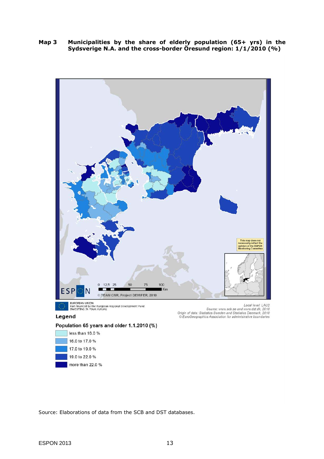**Map 3 Municipalities by the share of elderly population (65+ yrs) in the Sydsverige N.A. and the cross-border Öresund region: 1/1/2010 (%)** 





*Source*: Elaborations of data from the SCB and DST databases.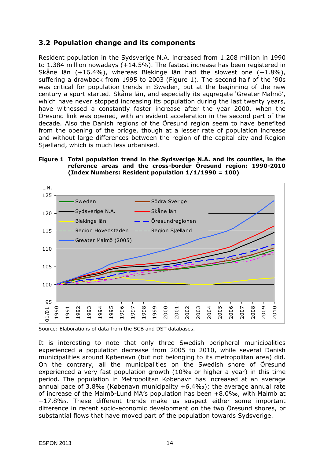#### **3.2 Population change and its components**

Resident population in the Sydsverige N.A. increased from 1.208 million in 1990 to 1.384 million nowadays (+14.5%). The fastest increase has been registered in Skåne län (+16.4%), whereas Blekinge län had the slowest one (+1.8%), suffering a drawback from 1995 to 2003 (Figure 1). The second half of the '90s was critical for population trends in Sweden, but at the beginning of the new century a spurt started. Skåne län, and especially its aggregate 'Greater Malmö', which have never stopped increasing its population during the last twenty years, have witnessed a constantly faster increase after the year 2000, when the Öresund link was opened, with an evident acceleration in the second part of the decade. Also the Danish regions of the Öresund region seem to have benefited from the opening of the bridge, though at a lesser rate of population increase and without large differences between the region of the capital city and Region Sjælland, which is much less urbanised.

#### **Figure 1 Total population trend in the Sydsverige N.A. and its counties, in the reference areas and the cross-border Öresund region: 1990-2010 (Index Numbers: Resident population 1/1/1990 = 100)**



*Source*: Elaborations of data from the SCB and DST databases.

It is interesting to note that only three Swedish peripheral municipalities experienced a population decrease from 2005 to 2010, while several Danish municipalities around Købenavn (but not belonging to its metropolitan area) did. On the contrary, all the municipalities on the Swedish shore of Öresund experienced a very fast population growth (10‰ or higher a year) in this time period. The population in Metropolitan Købenavn has increased at an average annual pace of 3.8‰ (Købenavn municipality +6.4‰); the average annual rate of increase of the Malmö-Lund MA's population has been +8.0‰, with Malmö at +17.8‰. These different trends make us suspect either some important difference in recent socio-economic development on the two Öresund shores, or substantial flows that have moved part of the population towards Sydsverige.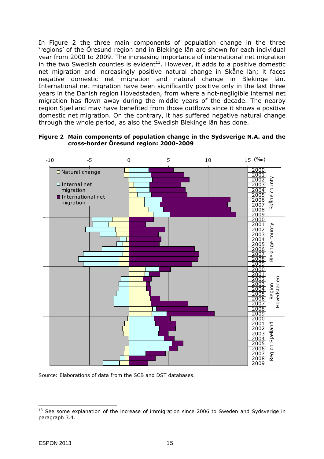In Figure 2 the three main components of population change in the three 'regions' of the Öresund region and in Blekinge län are shown for each individual year from 2000 to 2009. The increasing importance of international net migration in the two Swedish counties is evident<sup>13</sup>. However, it adds to a positive domestic net migration and increasingly positive natural change in Skåne län; it faces negative domestic net migration and natural change in Blekinge län. International net migration have been significantly positive only in the last three years in the Danish region Hovedstaden, from where a not-negligible internal net migration has flown away during the middle years of the decade. The nearby region Sjælland may have benefited from those outflows since it shows a positive domestic net migration. On the contrary, it has suffered negative natural change through the whole period, as also the Swedish Blekinge län has done.



**Figure 2 Main components of population change in the Sydsverige N.A. and the cross-border Öresund region: 2000-2009** 

*Source*: Elaborations of data from the SCB and DST databases.

 $\overline{a}$ <sup>13</sup> See some explanation of the increase of immigration since 2006 to Sweden and Sydsverige in paragraph 3.4.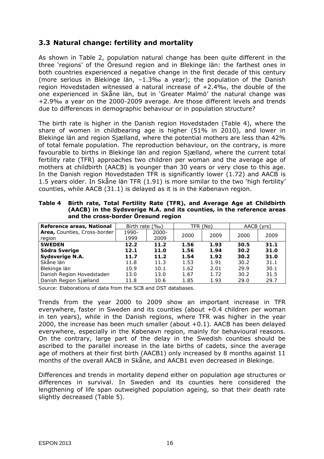#### **3.3 Natural change: fertility and mortality**

As shown in Table 2, population natural change has been quite different in the three 'regions' of the Öresund region and in Blekinge län: the farthest ones in both countries experienced a negative change in the first decade of this century (more serious in Blekinge län, –1.3‰ a year); the population of the Danish region Hovedstaden witnessed a natural increase of +2.4‰, the double of the one experienced in Skåne län, but in 'Greater Malmö' the natural change was +2.9‰ a year on the 2000-2009 average. Are those different levels and trends due to differences in demographic behaviour or in population structure?

The birth rate is higher in the Danish region Hovedstaden (Table 4), where the share of women in childbearing age is higher (51% in 2010), and lower in Blekinge län and region Sjælland, where the potential mothers are less than 42% of total female population. The reproduction behaviour, on the contrary, is more favourable to births in Blekinge län and region Sjælland, where the current total fertility rate (TFR) approaches two children per woman and the average age of mothers at childbirth (AACB) is younger than 30 years or very close to this age. In the Danish region Hovedstaden TFR is significantly lower (1.72) and AACB is 1.5 years older. In Skåne län TFR (1.91) is more similar to the two 'high fertility' counties, while AACB (31.1) is delayed as it is in the Købenavn region.

| Reference areas, National    | Birth rate $(\%$ o) |          |      | TFR (No) | AACB (yrs) |      |
|------------------------------|---------------------|----------|------|----------|------------|------|
| Area, Counties, Cross-border | 1990-               | $2000 -$ |      | 2009     |            |      |
| region                       | 1999                | 2009     | 2000 |          | 2000       | 2009 |
| <b>SWEDEN</b>                | 12.2                | 11.2     | 1.56 | 1.93     | 30.5       | 31.1 |
| Södra Sverige                | 12.1                | 11.0     | 1.56 | 1.94     | 30.2       | 31.0 |
| Sydsverige N.A.              | 11.7                | 11.2     | 1.54 | 1.92     | 30.2       | 31.0 |
| Skåne län                    | 11.8                | 11.3     | 1.53 | 1.91     | 30.2       | 31.1 |
| Blekinge län                 | 10.9                | 10.1     | 1.62 | 2.01     | 29.9       | 30.1 |
| Danish Region Hovedstaden    | 13.0                | 13.0     | 1.67 | 1.72     | 30.2       | 31.5 |
| Danish Region Sjælland       | 11.8                | 10.6     | 1.85 | 1.93     | 29.0       | 29.7 |

**Table 4 Birth rate, Total Fertility Rate (TFR), and Average Age at Childbirth (AACB) in the Sydsverige N.A. and its counties, in the reference areas and the cross-border Öresund region** 

*Source*: Elaborations of data from the SCB and DST databases.

Trends from the year 2000 to 2009 show an important increase in TFR everywhere, faster in Sweden and its counties (about +0.4 children per woman in ten years), while in the Danish regions, where TFR was higher in the year 2000, the increase has been much smaller (about +0.1). AACB has been delayed everywhere, especially in the Købenavn region, mainly for behavioural reasons. On the contrary, large part of the delay in the Swedish counties should be ascribed to the parallel increase in the late births of cadets, since the average age of mothers at their first birth (AACB1) only increased by 8 months against 11 months of the overall AACB in Skåne, and AACB1 even decreased in Blekinge.

Differences and trends in mortality depend either on population age structures or differences in survival. In Sweden and its counties here considered the lengthening of life span outweighed population ageing, so that their death rate slightly decreased (Table 5).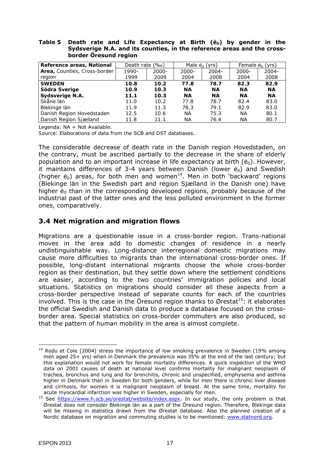#### **Table 5 Death rate and Life Expectancy at Birth (ė0) by gender in the Sydsverige N.A. and its counties, in the reference areas and the crossborder Öresund region**

| Reference areas, National    | (%o)<br>Death rate |          | Male $\dot{e}_0$ (yrs) |           | Female $\dot{e}_0$ (yrs) |           |
|------------------------------|--------------------|----------|------------------------|-----------|--------------------------|-----------|
| Area, Counties, Cross-border | 1990-              | $2000 -$ | $2000 -$               | $2004 -$  | $2000 -$                 | $2004 -$  |
| region                       | 1999               | 2009     | 2004                   | 2008      | 2004                     | 2008      |
| <b>SWEDEN</b>                | 10.8               | 10.2     | 77.8                   | 78.7      | 82.3                     | 82.9      |
| Södra Sverige                | 10.9               | 10.3     | ΝA                     | ΝA        | ΝA                       | ΝA        |
| Sydsverige N.A.              | 11.1               | 10.3     | <b>NA</b>              | <b>NA</b> | <b>NA</b>                | <b>NA</b> |
| Skåne län                    | 11.0               | 10.2     | 77.8                   | 78.7      | 82.4                     | 83.0      |
| Blekinge län                 | 11.9               | 11.3     | 78.3                   | 79.1      | 82.9                     | 83.0      |
| Danish Region Hovedstaden    | 12.5               | 10.6     | ΝA                     | 75.3      | ΝA                       | 80.1      |
| Danish Region Sjælland       | 11.8               | 11.1     | ΝA                     | 76.4      | ΝA                       | 80.7      |

*Legenda*: NA = Not Available.

*Source*: Elaborations of data from the SCB and DST databases.

The considerable decrease of death rate in the Danish region Hovedstaden, on the contrary, must be ascribed partially to the decrease in the share of elderly population and to an important increase in life expectancy at birth ( $\dot{e}_0$ ). However, it maintains differences of 3-4 years between Danish (lower  $\dot{e}_0$ ) and Swedish (higher  $\dot{e}_0$ ) areas, for both men and women<sup>14</sup>. Men in both 'backward' regions (Blekinge län in the Swedish part and region Sjælland in the Danish one) have higher  $\dot{e}_0$  than in the corresponding developed regions, probably because of the industrial past of the latter ones and the less polluted environment in the former ones, comparatively.

#### **3.4 Net migration and migration flows**

Migrations are a questionable issue in a cross-border region. Trans-national moves in the area add to domestic changes of residence in a nearly undistinguishable way. Long-distance interregional domestic migrations may cause more difficulties to migrants than the international cross-border ones. If possible, long-distant international migrants choose the whole cross-border region as their destination, but they settle down where the settlement conditions are easier, according to the two countries' immigration policies and local situations. Statistics on migrations should consider all these aspects from a cross-border perspective instead of separate counts for each of the countries involved. This is the case in the Öresund region thanks to Ørestat<sup>15</sup>: it elaborates the official Swedish and Danish data to produce a database focused on the crossborder area. Special statistics on cross-border commuters are also produced, so that the pattern of human mobility in the area is almost complete.

 $\overline{a}$ 14 Rodu *et* Cole [2004] stress the importance of low smoking prevalence in Sweden (19% among men aged 25+ yrs) when in Denmark the prevalence was 35% at the end of the last century; but this explanation would not work for female mortality differences. A quick inspection of the WHO data on 2001 causes of death at national level confirms mortality for malignant neoplasm of trachea, bronchus and lung and for bronchitis, chronic and unspecified, emphysema and asthma higher in Denmark than in Sweden for both genders, while for men there is chronic liver disease and cirrhosis, for women it is malignant neoplasm of breast. At the same time, mortality for acute myocardial infarction was higher in Sweden, especially for men.

<sup>&</sup>lt;sup>15</sup> See https://www.h.scb.se/orestat/website/index.aspx. In our study, the only problem is that Ørestat does not consider Blekinge län as a part of the Öresund region. Therefore, Blekinge data will be missing in statistics drawn from the Ørestat database. Also the planned creation of a Nordic database on migration and commuting studies is to be mentioned: www.statnord.org.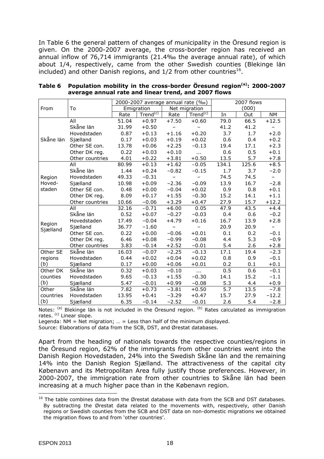In Table 6 the general pattern of changes of municipality in the Öresund region is given. On the 2000-2007 average, the cross-border region has received an annual inflow of 76,714 immigrants (21.4‰ the average annual rate), of which about 1/4, respectively, came from the other Swedish counties (Blekinge län included) and other Danish regions, and  $1/2$  from other countries<sup>16</sup>.

|           |                 |       | 2000-2007 average annual rate (%o) |                   |                          |                  | 2007 flows |                          |
|-----------|-----------------|-------|------------------------------------|-------------------|--------------------------|------------------|------------|--------------------------|
| From      | To              |       | Emigration                         |                   | Net migration            |                  | (000)      |                          |
|           |                 | Rate  | Trend <sup>(c)</sup>               | Rate              | Trend <sup>(c)</sup>     | In               | Out        | <b>NM</b>                |
|           | All             | 51.04 | $+0.97$                            | $+7.50$           | $+0.60$                  | 79.0             | 66.5       | $+12.5$                  |
|           | Skåne län       | 31.99 | $+0.50$                            | $\qquad \qquad -$ | $\overline{\phantom{0}}$ | 41.2             | 41.2       | $\overline{\phantom{a}}$ |
|           | Hovedstaden     | 0.87  | $+0.13$                            | $+1.16$           | $+0.20$                  | 3.7              | 1.7        | $+2.0$                   |
| Skåne län | Sjælland        | 0.17  | $+0.03$                            | $+0.19$           | $+0.02$                  | 0.6              | 0.4        | $+0.2$                   |
|           | Other SE con.   | 13.78 | $+0.06$                            | $+2.25$           | $-0.13$                  | 19.4             | 17.1       | $+2.3$                   |
|           | Other DK reg.   | 0.22  | $+0.03$                            | $+0.10$           | $\cdots$                 | 0.6              | 0.5        | $+0.1$                   |
|           | Other countries | 4.01  | $+0.22$                            | $+3.81$           | $+0.50$                  | 13.5             | 5.7        | $+7.8$                   |
|           | All             | 80.99 | $+0.13$                            | $+1.62$           | $-0.05$                  | 134.1            | 125.6      | $+8.5$                   |
|           | Skåne län       | 1.44  | $+0.24$                            | $-0.82$           | $-0.15$                  | 1.7              | 3.7        | $-2.0$                   |
| Region    | Hovedstaden     | 49.33 | $-0.31$                            | $\qquad \qquad -$ |                          | 74.5             | 74.5       | $\overline{\phantom{m}}$ |
| Hoved-    | Sjælland        | 10.98 | $+0.09$                            | $-2.36$           | $-0.09$                  | 13.9             | 16.7       | $-2.8$                   |
| staden    | Other SE con.   | 0.48  | $+0.00$                            | $-0.04$           | $+0.02$                  | 0.9              | 0.8        | $+0.1$                   |
|           | Other DK reg.   | 8.09  | $+0.17$                            | $+1.55$           | $-0.30$                  | 15.2             | 14.1       | $+1.1$                   |
|           | Other countries | 10.66 | $-0.06$                            | $+3.29$           | $+0.47$                  | 27.9             | 15.7       | $+12.2$                  |
|           | All             | 32.16 | $-0.71$                            | $+6.00$           | 0.05                     | 47.9             | 43.5       | $+4.4$                   |
|           | Skåne län       | 0.52  | $+0.07$                            | $-0.27$           | $-0.03$                  | 0.4              | 0.6        | $-0.2$                   |
| Region    | Hovedstaden     | 17.49 | $-0.04$                            | $+4.79$           | $+0.16$                  | 16.7             | 13.9       | $+2.8$                   |
| Sjælland  | Sjælland        | 36.77 | $-1.60$                            |                   |                          | 20.9             | 20.9       | $\overline{\phantom{m}}$ |
|           | Other SE con.   | 0.22  | $+0.00$                            | $-0.06$           | $+0.01$                  | 0.1              | 0.2        | $-0.1$                   |
|           | Other DK reg.   | 6.46  | $+0.08$                            | $-0.99$           | $-0.08$                  | 4.4              | 5.3        | $-0.9$                   |
|           | Other countries | 3.83  | $-0.14$                            | $+2.52$           | $-0.01$                  | 5.4              | 2.6        | $+2.8$                   |
| Other SE  | Skåne län       | 16.03 | $-0.07$                            | $-2.25$           | $-0.13$                  | 17.1             | 19.4       | $-2.3$                   |
| regions   | Hovedstaden     | 0.44  | $+0.02$                            | $+0.04$           | $+0.02$                  | 0.8              | 0.9        | $-0.1$                   |
| (b)       | Sjælland        | 0.17  | $+0.00$                            | $+0.06$           | $+0.01$                  | 0.2              | 0.1        | $+0.1$                   |
| Other DK  | Skåne län       | 0.32  | $+0.03$                            | $-0.10$           | $\cdots$                 | 0.5              | 0.6        | $-0.1$                   |
| counties  | Hovedstaden     | 9.65  | $-0.13$                            | $+1.55$           | $-0.30$                  | 14.1             | 15.2       | $-1.1$                   |
| (b)       | Sjælland        | 5.47  | $-0.01$                            | $+0.99$           | $-0.08$                  | 5.3              | 4.4        | $+0.9$                   |
| Other     | Skåne län       | 7.82  | $+0.73$                            | $-3.81$           | $+0.50$                  | $\overline{5.7}$ | 13.5       | $-7.8$                   |
| countries | Hovedstaden     | 13.95 | $+0.41$                            | $-3.29$           | $+0.47$                  | 15.7             | 27.9       | $-12.2$                  |
| (b)       | Sjælland        | 6.35  | $-0.14$                            | $-2.52$           | $-0.01$                  | 2.6              | 5.4        | $-2.8$                   |

**Table 6 Population mobility in the cross-border Öresund region(a): 2000-2007 average annual rate and linear trend, and 2007 flows** 

*Notes*: <sup>(a)</sup> Blekinge län is not included in the Öresund region. <sup>(b)</sup> Rates calculated as immigration rates. <sup>(c)</sup> Linear slope.

*Legenda*: NM = Net migration; … = Less than half of the minimum displayed.

*Source*: Elaborations of data from the SCB, DST, and Ørestat databases.

Apart from the heading of nationals towards the respective counties/regions in the Öresund region, 62% of the immigrants from other countries went into the Danish Region Hovedstaden, 24% into the Swedish Skåne län and the remaining 14% into the Danish Region Sjælland. The attractiveness of the capital city Købenavn and its Metropolitan Area fully justify those preferences. However, in 2000-2007, the immigration rate from other countries to Skåne län had been increasing at a much higher pace than in the Købenavn region.

 $16$  The table combines data from the Ørestat database with data from the SCB and DST databases. By subtracting the Ørestat data related to the movements with, respectively, other Danish regions or Swedish counties from the SCB and DST data on non-domestic migrations we obtained the migration flows to and from 'other countries'.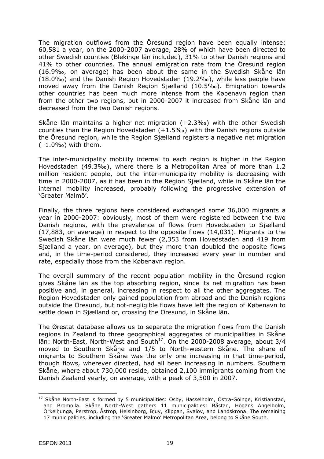The migration outflows from the Öresund region have been equally intense: 60,581 a year, on the 2000-2007 average, 28% of which have been directed to other Swedish counties (Blekinge län included), 31% to other Danish regions and 41% to other countries. The annual emigration rate from the Öresund region (16.9‰, on average) has been about the same in the Swedish Skåne län (18.0‰) and the Danish Region Hovedstaden (19.2‰), while less people have moved away from the Danish Region Sjælland (10.5‰). Emigration towards other countries has been much more intense from the Købenavn region than from the other two regions, but in 2000-2007 it increased from Skåne län and decreased from the two Danish regions.

Skåne län maintains a higher net migration (+2.3‰) with the other Swedish counties than the Region Hovedstaden (+1.5‰) with the Danish regions outside the Öresund region, while the Region Sjælland registers a negative net migration  $(-1.0\%$ <sup>o</sup>) with them.

The inter-municipality mobility internal to each region is higher in the Region Hovedstaden (49.3‰), where there is a Metropolitan Area of more than 1.2 million resident people, but the inter-municipality mobility is decreasing with time in 2000-2007, as it has been in the Region Sjælland, while in Skåne län the internal mobility increased, probably following the progressive extension of 'Greater Malmö'.

Finally, the three regions here considered exchanged some 36,000 migrants a year in 2000-2007: obviously, most of them were registered between the two Danish regions, with the prevalence of flows from Hovedstaden to Sjælland (17,883, on average) in respect to the opposite flows (14,031). Migrants to the Swedish Skåne län were much fewer (2,353 from Hovedstaden and 419 from Sjælland a year, on average), but they more than doubled the opposite flows and, in the time-period considered, they increased every year in number and rate, especially those from the Købenavn region.

The overall summary of the recent population mobility in the Öresund region gives Skåne län as the top absorbing region, since its net migration has been positive and, in general, increasing in respect to all the other aggregates. The Region Hovedstaden only gained population from abroad and the Danish regions outside the Öresund, but not-negligible flows have left the region of Købenavn to settle down in Sjælland or, crossing the Oresund, in Skåne län.

The Ørestat database allows us to separate the migration flows from the Danish regions in Zealand to three geographical aggregates of municipalities in Skåne län: North-East, North-West and South<sup>17</sup>. On the 2000-2008 average, about  $3/4$ moved to Southern Skåne and 1/5 to North-western Skåne. The share of migrants to Southern Skåne was the only one increasing in that time-period, though flows, wherever directed, had all been increasing in numbers. Southern Skåne, where about 730,000 reside, obtained 2,100 immigrants coming from the Danish Zealand yearly, on average, with a peak of 3,500 in 2007.

 $\overline{a}$ <sup>17</sup> Skåne North-East is formed by 5 municipalities: Osby, Hasselholm, Östra-Göinge, Kristianstad, and Bromolla. Skåne North-West gathers 11 municipalities: Båstad, Högans Angelholm, Örkelljunga, Perstrop, Åstrop, Helsinborg, Bjuv, Klippan, Svalöv, and Landskrona. The remaining 17 municipalities, including the 'Greater Malmö' Metropolitan Area, belong to Skåne South.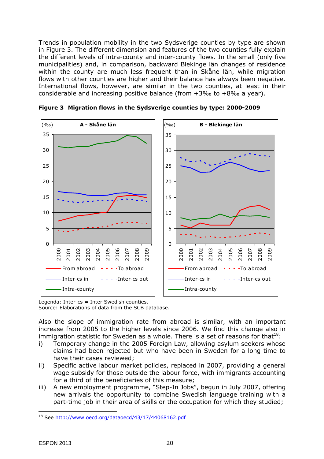Trends in population mobility in the two Sydsverige counties by type are shown in Figure 3. The different dimension and features of the two counties fully explain the different levels of intra-county and inter-county flows. In the small (only five municipalities) and, in comparison, backward Blekinge län changes of residence within the county are much less frequent than in Skåne län, while migration flows with other counties are higher and their balance has always been negative. International flows, however, are similar in the two counties, at least in their considerable and increasing positive balance (from +3‰ to +8‰ a year).



**Figure 3 Migration flows in the Sydsverige counties by type: 2000-2009** 

*Legenda*: Inter-cs = Inter Swedish counties. *Source*: Elaborations of data from the SCB database.

Also the slope of immigration rate from abroad is similar, with an important increase from 2005 to the higher levels since 2006. We find this change also in immigration statistic for Sweden as a whole. There is a set of reasons for that  $18$ :

- i) Temporary change in the 2005 Foreign Law, allowing asylum seekers whose claims had been rejected but who have been in Sweden for a long time to have their cases reviewed;
- ii) Specific active labour market policies, replaced in 2007, providing a general wage subsidy for those outside the labour force, with immigrants accounting for a third of the beneficiaries of this measure;
- iii) A new employment programme, "Step-In Jobs", begun in July 2007, offering new arrivals the opportunity to combine Swedish language training with a part-time job in their area of skills or the occupation for which they studied;

 $\overline{a}$ 18 See http://www.oecd.org/dataoecd/43/17/44068162.pdf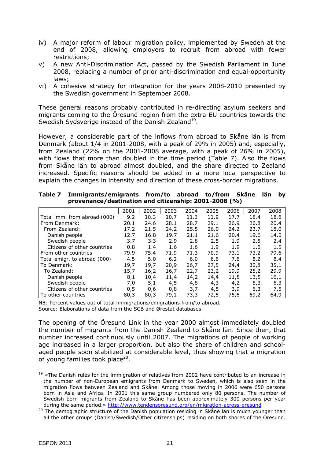- iv) A major reform of labour migration policy, implemented by Sweden at the end of 2008, allowing employers to recruit from abroad with fewer restrictions;
- v) A new Anti-Discrimination Act, passed by the Swedish Parliament in June 2008, replacing a number of prior anti-discrimination and equal-opportunity laws;
- vi) A cohesive strategy for integration for the years 2008-2010 presented by the Swedish government in September 2008.

These general reasons probably contributed in re-directing asylum seekers and migrants coming to the Öresund region from the extra-EU countries towards the Swedish Sydsverige instead of the Danish Zealand<sup>19</sup>.

However, a considerable part of the inflows from abroad to Skåne län is from Denmark (about 1/4 in 2001-2008, with a peak of 29% in 2005) and, especially, from Zealand (22% on the 2001-2008 average, with a peak of 26% in 2005), with flows that more than doubled in the time period (Table 7). Also the flows from Skåne län to abroad almost doubled, and the share directed to Zealand increased. Specific reasons should be added in a more local perspective to explain the changes in intensity and direction of these cross-border migrations.

|                              | 2001 | 2002 | 2003 | 2004 | 2005 | 2006 | 2007 | 2008 |
|------------------------------|------|------|------|------|------|------|------|------|
| Total imm. from abroad (000) | 9.2  | 10.3 | 10.7 | 11.3 | 11.9 | 17.7 | 18.4 | 18.6 |
| From Denmark:                | 20.1 | 24.6 | 28.1 | 28.7 | 29.1 | 26.9 | 26.8 | 20.4 |
| From Zealand:                | 17.2 | 21.5 | 24.2 | 25.5 | 26.0 | 24.2 | 23.7 | 18.0 |
| Danish people                | 12.7 | 16.8 | 19.7 | 21.1 | 21.6 | 20.4 | 19.6 | 14.0 |
| Swedish people               | 3.7  | 3.3  | 2.9  | 2.8  | 2.5  | 1.9  | 2.5  | 2.4  |
| Citizens of other countries  | 0.8  | 1.4  | 1.6  | 1.6  | 1.9  | 1.9  | 1.6  | 1.5  |
| From other countries         | 79.9 | 75.4 | 71.9 | 71.3 | 70.9 | 73.1 | 73.2 | 79.6 |
| Total emigr. to abroad (000) | 4,5  | 5,0  | 6,2  | 6,0  | 6,6  | 7,6  | 8,2  | 8,4  |
| To Denmark:                  | 19,7 | 19,7 | 20,9 | 26,7 | 27,5 | 24,4 | 30,8 | 35,1 |
| To Zealand:                  | 15,7 | 16,2 | 16,7 | 22,7 | 23,2 | 19,9 | 25,2 | 29,9 |
| Danish people                | 8,1  | 10,4 | 11,4 | 14,2 | 14,4 | 11,8 | 13,5 | 16,1 |
| Swedish people               | 7,0  | 5,1  | 4,5  | 4,8  | 4,3  | 4,2  | 5,3  | 6,3  |
| Citizens of other countries  | 0,5  | 0,6  | 0,8  | 3,7  | 4,5  | 3,9  | 6,3  | 7,5  |
| To other countries           | 80,3 | 80,3 | 79,1 | 73,3 | 72,5 | 75,6 | 69,2 | 64,9 |

| Table 7 | Immigrants/emigrants from/to abroad to/from Skåne län by |  |  |  |
|---------|----------------------------------------------------------|--|--|--|
|         | provenance/destination and citizenship: 2001-2008 (%)    |  |  |  |

*NB*: Percent values out of total immigrations/emigrations from/to abroad. *Source*: Elaborations of data from the SCB and Ørestat databases.

The opening of the Öresund Link in the year 2000 almost immediately doubled the number of migrants from the Danish Zealand to Skåne län. Since then, that number increased continuously until 2007. The migrations of people of working age increased in a larger proportion, but also the share of children and schoolaged people soon stabilized at considerable level, thus showing that a migration of young families took place<sup>20</sup>.

 $\overline{a}$  $19$  «The Danish rules for the immigration of relatives from 2002 have contributed to an increase in the number of non-European emigrants from Denmark to Sweden, which is also seen in the migration flows between Zealand and Skåne. Among those moving in 2006 were 650 persons born in Asia and Africa. In 2001 this same group numbered only 80 persons. The number of Swedish born migrants from Zealand to Skåne has been approximately 300 persons per year during the same period.» http://www.tendensoresund.org/en/migration-across-oresund

<sup>&</sup>lt;sup>20</sup> The demographic structure of the Danish population residing in Skåne län is much younger than all the other groups (Danish/Swedish/Other citizenships) residing on both shores of the Öresund.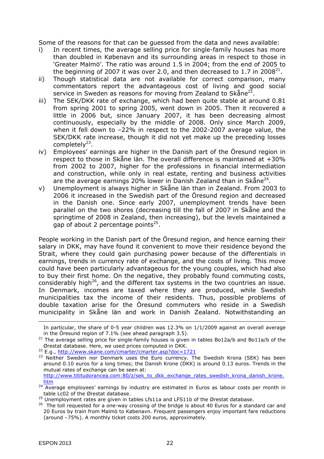Some of the reasons for that can be guessed from the data and news available:

- i) In recent times, the average selling price for single-family houses has more than doubled in Købenavn and its surrounding areas in respect to those in 'Greater Malmö'. The ratio was around 1.5 in 2004; from the end of 2005 to the beginning of 2007 it was over 2.0, and then decreased to 1.7 in 2008<sup>21</sup>.
- ii) Though statistical data are not available for correct comparison, many commentators report the advantageous cost of living and good social service in Sweden as reasons for moving from Zealand to Skåne $^{22}$ .
- iii) The SEK/DKK rate of exchange, which had been quite stable at around 0.81 from spring 2001 to spring 2005, went down in 2005. Then it recovered a little in 2006 but, since January 2007, it has been decreasing almost continuously, especially by the middle of 2008. Only since March 2009, when it fell down to –22% in respect to the 2002-2007 average value, the SEK/DKK rate increase, though it did not yet make up the preceding losses completely $^{23}$ .
- iv) Employees' earnings are higher in the Danish part of the Öresund region in respect to those in Skåne län. The overall difference is maintained at +30% from 2002 to 2007, higher for the professions in financial intermediation and construction, while only in real estate, renting and business activities are the average earnings 20% lower in Danish Zealand than in Skåne $^{24}$ .
- v) Unemployment is always higher in Skåne län than in Zealand. From 2003 to 2006 it increased in the Swedish part of the Öresund region and decreased in the Danish one. Since early 2007, unemployment trends have been parallel on the two shores (decreasing till the fall of 2007 in Skåne and the springtime of 2008 in Zealand, then increasing), but the levels maintained a gap of about 2 percentage points $^{25}$ .

People working in the Danish part of the Öresund region, and hence earning their salary in DKK, may have found it convenient to move their residence beyond the Strait, where they could gain purchasing power because of the differentials in earnings, trends in currency rate of exchange, and the costs of living. This move could have been particularly advantageous for the young couples, which had also to buy their first home. On the negative, they probably found commuting costs, considerably high<sup>26</sup>, and the different tax systems in the two countries an issue. In Denmark, incomes are taxed where they are produced, while Swedish municipalities tax the income of their residents. Thus, possible problems of double taxation arise for the Öresund commuters who reside in a Swedish municipality in Skåne län and work in Danish Zealand. Notwithstanding an

In particular, the share of 0-5 year children was 12.3% on 1/1/2009 against an overall average in the Öresund region of 7.1% (see ahead paragraph 3.5).<br><sup>21</sup> The average selling price for single-family houses is given in tables Bo12a/b and Bo11a/b of the

Ørestat database. Here, we used prices computed in DKK.<br><sup>22</sup> E.q., http://www.skane.com/cmarter/cmarter.asp?doc=1721

<sup>&</sup>lt;sup>23</sup> Neither Sweden nor Denmark uses the Euro currency. The Swedish Krona (SEK) has been around 0.10 euros for a long times; the Danish Krone (DKK) is around 0.13 euros. Trends in the mutual rates of exchange can be seen at: http://www.tititudorancea.com:80/z/sek\_to\_dkk\_exchange\_rates\_swedish\_krona\_danish\_krone.

htm

<sup>&</sup>lt;sup>24</sup> Average employees' earnings by industry are estimated in Euros as labour costs per month in table Lc02 of the Ørestat database.

 $^{25}$  Unemployment rates are given in tables Lfs11a and LFS11b of the Ørestat database.

<sup>&</sup>lt;sup>26</sup> The toll requested for a one-way crossing of the bridge is about 40 Euros for a standard car and 20 Euros by train from Malmö to Købenavn. Frequent passengers enjoy important fare reductions (around –75%). A monthly ticket costs 200 euros, approximately.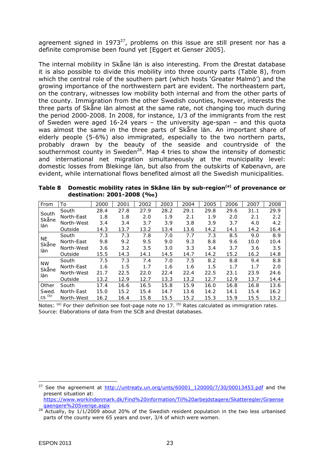agreement signed in  $1973^{27}$ , problems on this issue are still present nor has a definite compromise been found yet [Eggert *et* Genser 2005].

The internal mobility in Skåne län is also interesting. From the Ørestat database it is also possible to divide this mobility into three county parts (Table 8), from which the central role of the southern part (which hosts 'Greater Malmö') and the growing importance of the northwestern part are evident. The northeastern part, on the contrary, witnesses low mobility both internal and from the other parts of the county. Immigration from the other Swedish counties, however, interests the three parts of Skåne län almost at the same rate, not changing too much during the period 2000-2008. In 2008, for instance, 1/3 of the immigrants from the rest of Sweden were aged 16-24 years – the university age-span – and this quota was almost the same in the three parts of Skåne län. An important share of elderly people (5-6%) also immigrated, especially to the two northern parts, probably drawn by the beauty of the seaside and countryside of the southernmost county in Sweden<sup>28</sup>. Map 4 tries to show the intensity of domestic and international net migration simultaneously at the municipality level: domestic losses from Blekinge län, but also from the outskirts of Købenavn, are evident, while international flows benefited almost all the Swedish municipalities.

Table 8 Domestic mobility rates in Skåne län by sub-region<sup>(a)</sup> of provenance or **destination: 2001-2008 (‰)** 

| From           | To         | 2000 | 2001 | 2002 | 2003 | 2004 | 2005 | 2006 | 2007 | 2008 |
|----------------|------------|------|------|------|------|------|------|------|------|------|
|                | South      | 28.4 | 27.8 | 27.9 | 28.2 | 29.1 | 29.8 | 29.6 | 31.1 | 29.9 |
| South<br>Skåne | North-East | 1.8  | 1.8  | 2.0  | 1.9  | 2.1  | 1.9  | 2.0  | 2.1  | 2.2  |
| län            | North-West | 3.4  | 3.4  | 3.7  | 3.9  | 3.8  | 3.9  | 3.7  | 4.0  | 4.2  |
|                | Outside    | 14.3 | 13.7 | 13.2 | 13.4 | 13.6 | 14.2 | 14.1 | 14.2 | 16.4 |
| <b>NE</b>      | South      | 7.3  | 7.3  | 7.8  | 7.0  | 7.7  | 7.3  | 8.5  | 9.0  | 8.9  |
| Skåne          | North-East | 9.8  | 9.2  | 9.5  | 9.0  | 9.3  | 8.8  | 9.6  | 10.0 | 10.4 |
| län            | North-West | 3.6  | 3.2  | 3.5  | 3.0  | 3.3  | 3.4  | 3.7  | 3.6  | 3.5  |
|                | Outside    | 15.5 | 14.3 | 14.1 | 14.5 | 14.7 | 14.2 | 15.2 | 16.2 | 14.8 |
| <b>NW</b>      | South      | 7.5  | 7.3  | 7.4  | 7.0  | 7.5  | 8.2  | 8.8  | 9.4  | 8.8  |
| Skåne          | North-East | 1.6  | 1.5  | 1.7  | 1.6  | 1.6  | 1.5  | 1.7  | 1.7  | 2.0  |
| län            | North-West | 21.7 | 22.5 | 22.0 | 22.4 | 22.4 | 22.5 | 23.1 | 23.9 | 24.6 |
|                | Outside    | 13.2 | 12.9 | 12.7 | 13.3 | 13.2 | 12.7 | 12.9 | 13.7 | 14.4 |
| Other          | South      | 17.4 | 16.6 | 16.5 | 15.8 | 15.9 | 16.0 | 16.8 | 16.8 | 13.6 |
| Swed.          | North-East | 15.0 | 15.2 | 15.4 | 14.7 | 13.6 | 14.2 | 14.1 | 15.4 | 16.2 |
| $CS^{(b)}$     | North-West | 16.2 | 16.4 | 15.8 | 15.5 | 15.2 | 15.3 | 15.9 | 15.5 | 13.2 |

*Notes*: <sup>(a)</sup> For their definition see foot-page note no 17. <sup>(b)</sup> Rates calculated as immigration rates. *Source*: Elaborations of data from the SCB and Ørestat databases.

<sup>27</sup> See the agreement at http://untreaty.un.org/unts/60001\_120000/7/30/00013453.pdf and the present situation at:

https://www.workindenmark.dk/Find%20information/Til%20arbejdstagere/Skatteregler/Graense gaengere%20Sverige.aspx

<sup>&</sup>lt;sup>28</sup> Actually, by 1/1/2009 about 20% of the Swedish resident population in the two less urbanised parts of the county were 65 years and over, 3/4 of which were women.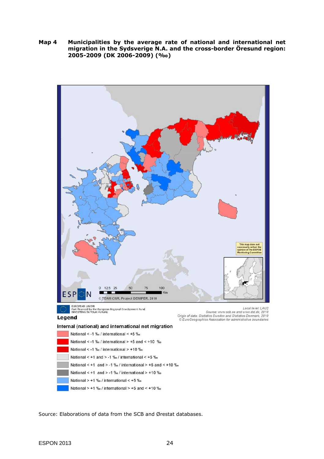**Map 4 Municipalities by the average rate of national and international net migration in the Sydsverige N.A. and the cross-border Öresund region: 2005-2009 (DK 2006-2009) (‰)** 



National  $> +1$  ‰ / international <  $+5$  ‰

National  $> +1$  ‰ / international  $> +5$  and  $< +10$  ‰

*Source*: Elaborations of data from the SCB and Ørestat databases.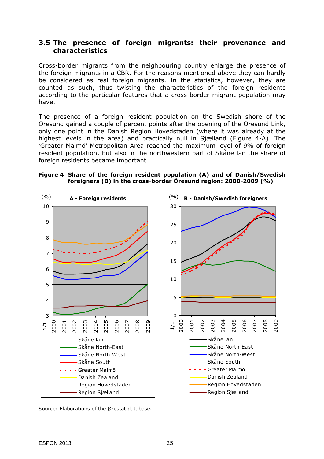#### **3.5 The presence of foreign migrants: their provenance and characteristics**

Cross-border migrants from the neighbouring country enlarge the presence of the foreign migrants in a CBR. For the reasons mentioned above they can hardly be considered as real foreign migrants. In the statistics, however, they are counted as such, thus twisting the characteristics of the foreign residents according to the particular features that a cross-border migrant population may have.

The presence of a foreign resident population on the Swedish shore of the Öresund gained a couple of percent points after the opening of the Öresund Link, only one point in the Danish Region Hovedstaden (where it was already at the highest levels in the area) and practically null in Sjælland (Figure 4-A). The 'Greater Malmö' Metropolitan Area reached the maximum level of 9% of foreign resident population, but also in the northwestern part of Skåne län the share of foreign residents became important.

#### **Figure 4 Share of the foreign resident population (A) and of Danish/Swedish foreigners (B) in the cross-border Öresund region: 2000-2009 (%)**



*Source*: Elaborations of the Ørestat database.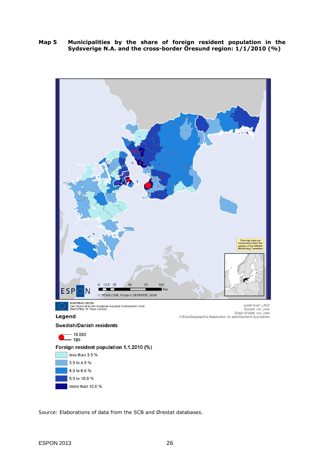**Map 5 Municipalities by the share of foreign resident population in the Sydsverige N.A. and the cross-border Öresund region: 1/1/2010 (%)** 



*Source*: Elaborations of data from the SCB and Ørestat databases.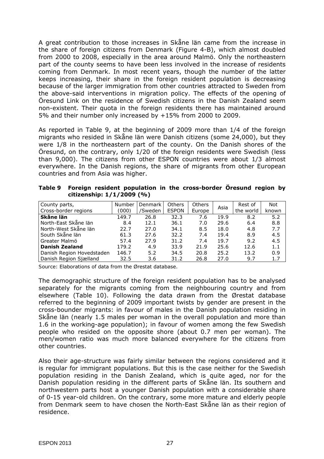A great contribution to those increases in Skåne län came from the increase in the share of foreign citizens from Denmark (Figure 4-B), which almost doubled from 2000 to 2008, especially in the area around Malmö. Only the northeastern part of the county seems to have been less involved in the increase of residents coming from Denmark. In most recent years, though the number of the latter keeps increasing, their share in the foreign resident population is decreasing because of the larger immigration from other countries attracted to Sweden from the above-said interventions in migration policy. The effects of the opening of Öresund Link on the residence of Swedish citizens in the Danish Zealand seem non-existent. Their quota in the foreign residents there has maintained around 5% and their number only increased by +15% from 2000 to 2009.

As reported in Table 9, at the beginning of 2009 more than 1/4 of the foreign migrants who resided in Skåne län were Danish citizens (some 24,000), but they were 1/8 in the northeastern part of the county. On the Danish shores of the Öresund, on the contrary, only 1/20 of the foreign residents were Swedish (less than 9,000). The citizens from other ESPON countries were about 1/3 almost everywhere. In the Danish regions, the share of migrants from other European countries and from Asia was higher.

| Table 9 Foreign resident population in the cross-border Öresund region by |  |  |
|---------------------------------------------------------------------------|--|--|
| citizenship: $1/1/2009$ (%)                                               |  |  |

| County parts,             | <b>Number</b> | <b>Denmark</b> | <b>Others</b> | <b>Others</b> | Asia | Rest of   | <b>Not</b> |
|---------------------------|---------------|----------------|---------------|---------------|------|-----------|------------|
| Cross-border regions      | (000)         | /Sweden        | <b>ESPON</b>  | Europe        |      | the world | known      |
| Skåne län                 | 149.7         | 26.8           | 32.3          | 7.6           | 19.9 | 8.2       | 5.2        |
| North-East Skåne län      | 8.4           | 12.1           | 36.1          | 7.0           | 29.6 | 6.4       | 8.8        |
| North-West Skåne län      | 22.7          | 27.0           | 34.1          | 8.5           | 18.0 | 4.8       | 7.7        |
| South Skåne län           | 61.3          | 27.6           | 32.2          | 7.4           | 19.4 | 8.9       | 4.5        |
| Greater Malmö             | 57.4          | 27.9           | 31.2          | 7.4           | 19.7 | 9.2       | 4.5        |
| <b>Danish Zealand</b>     | 179.2         | 4.9            | 33.9          | 21.9          | 25.6 | 12.6      | 1.1        |
| Danish Region Hovedstaden | 146.7         | 5.2            | 34.5          | 20.8          | 25.2 | 13.2      | 0.9        |
| Danish Region Sjælland    | 32.5          | 3.6            | 31.2          | 26.8          | 27.0 | 9.7       | 1.7        |

*Source*: Elaborations of data from the Ørestat database.

The demographic structure of the foreign resident population has to be analysed separately for the migrants coming from the neighbouring country and from elsewhere (Table 10). Following the data drawn from the Ørestat database referred to the beginning of 2009 important twists by gender are present in the cross-bounder migrants: in favour of males in the Danish population residing in Skåne län (nearly 1.5 males per woman in the overall population and more than 1.6 in the working-age population); in favour of women among the few Swedish people who resided on the opposite shore (about 0.7 men per woman). The men/women ratio was much more balanced everywhere for the citizens from other countries.

Also their age-structure was fairly similar between the regions considered and it is regular for immigrant populations. But this is the case neither for the Swedish population residing in the Danish Zealand, which is quite aged, nor for the Danish population residing in the different parts of Skåne län. Its southern and northwestern parts host a younger Danish population with a considerable share of 0-15 year-old children. On the contrary, some more mature and elderly people from Denmark seem to have chosen the North-East Skåne län as their region of residence.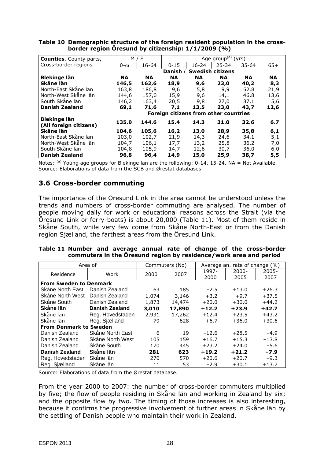| <b>Counties, County parts,</b> |           | M / F     |           |                                       | Age group <sup>(a)</sup> (yrs) |           |           |
|--------------------------------|-----------|-----------|-----------|---------------------------------------|--------------------------------|-----------|-----------|
| Cross-border regions           | 0-ω       | 16-64     | $0 - 15$  | $16 - 24$                             | $25 - 34$                      | $35 - 64$ | $65+$     |
|                                |           |           | Danish ∕  |                                       | <b>Swedish citizens</b>        |           |           |
| <b>Blekinge län</b>            | <b>NA</b> | <b>NA</b> | <b>NA</b> | <b>NA</b>                             | <b>NA</b>                      | <b>NA</b> | <b>NA</b> |
| Skåne län                      | 146,5     | 162,6     | 18,9      | 9,6                                   | 23,0                           | 40,2      | 8,3       |
| North-East Skåne län           | 163,8     | 186,8     | 9,6       | 5,8                                   | 9,9                            | 52,8      | 21,9      |
| North-West Skåne län           | 144.6     | 157.0     | 15,9      | 9,6                                   | 14,1                           | 46,8      | 13,6      |
| South Skåne län                | 146,2     | 163,4     | 20,5      | 9,8                                   | 27.0                           | 37,1      | 5,6       |
| Danish Zealand                 | 69,1      | 71,6      | 7,1       | 13,5                                  | 23,0                           | 43,7      | 12,6      |
|                                |           |           |           | Foreign citizens from other countries |                                |           |           |
| Blekinge län                   | 135.0     | 144.6     | 15.4      | 14.3                                  | 31.0                           | 32.6      | 6.7       |
| (All foreign citizens)         |           |           |           |                                       |                                |           |           |
| Skåne län                      | 104,6     | 105,6     | 16,2      | 13,0                                  | 28,9                           | 35,8      | 6,1       |
| North-East Skåne län           | 103,0     | 102,7     | 21,9      | 14,3                                  | 24,6                           | 34,1      | 5,1       |
| North-West Skåne län           | 104,7     | 106,1     | 17,7      | 13,2                                  | 25,8                           | 36,2      | 7,0       |
| South Skåne län                | 104,8     | 105,9     | 14,7      | 12,6                                  | 30,7                           | 36,0      | 6,0       |
| <b>Danish Zealand</b>          | 96,8      | 96,4      | 14,9      | 15,0                                  | 25,9                           | 38,7      | 5,5       |

**Table 10 Demographic structure of the foreign resident population in the crossborder region Öresund by citizenship: 1/1/2009 (%)** 

*Notes*: <sup>(a)</sup> Young age groups for Blekinge län are the following: 0-14, 15-24. NA = Not Available. *Source*: Elaborations of data from the SCB and Ørestat databases.

### **3.6 Cross-border commuting**

The importance of the Öresund Link in the area cannot be understood unless the trends and numbers of cross-border commuting are analysed. The number of people moving daily for work or educational reasons across the Strait (via the Öresund Link or ferry-boats) is about 20,000 (Table 11). Most of them reside in Skåne South, while very few come from Skåne North-East or from the Danish region Sjælland, the farthest areas from the Öresund Link.

|  |  |  |  |  | Table 11 Number and average annual rate of change of the cross-border |  |
|--|--|--|--|--|-----------------------------------------------------------------------|--|
|  |  |  |  |  | commuters in the Öresund region by residence/work area and period     |  |

|                               | Area of               | Commuters (No) |        |         | Average an. rate of change (%) |          |
|-------------------------------|-----------------------|----------------|--------|---------|--------------------------------|----------|
| Residence                     | Work                  | 2000           | 2007   | 1997-   | $2000 -$                       | $2005 -$ |
|                               |                       |                |        | 2000    | 2005                           | 2007     |
| <b>From Sweden to Denmark</b> |                       |                |        |         |                                |          |
| Skåne North East              | Danish Zealand        | 63             | 185    | $-2.5$  | $+13.0$                        | $+26.3$  |
| Skåne North West              | Danish Zealand        | 1,074          | 3,146  | $+3.2$  | $+9.7$                         | $+37.5$  |
| Skåne South                   | Danish Zealand        | 1,873          | 14,474 | $+20.0$ | $+30.0$                        | $+44.2$  |
| Skåne län                     | <b>Danish Zealand</b> | 3,010          | 17,890 | $+12.2$ | $+23.9$                        | $+42.7$  |
| Skåne län                     | Reg. Hovedstaden      | 2,931          | 17,262 | $+12.4$ | $+23.5$                        | $+43.2$  |
| Skåne län                     | Reg. Sjælland         | 79             | 628    | $+6.7$  | $+36.0$                        | $+30.6$  |
| <b>From Denmark to Sweden</b> |                       |                |        |         |                                |          |
| Danish Zealand                | Skåne North East      | 6              | 19     | $-12.6$ | $+28.5$                        | $-4.9$   |
| Danish Zealand                | Skåne North West      | 105            | 159    | $+16.7$ | $+15.3$                        | $-13.8$  |
| Danish Zealand                | Skåne South           | 170            | 445    | $+23.2$ | $+24.0$                        | $-5.6$   |
| <b>Danish Zealand</b>         | Skåne län             | 281            | 623    | $+19.2$ | $+21.2$                        | $-7.9$   |
| Reg. Hovedstaden              | Skåne län             | 270            | 570    | $+20.6$ | $+20.7$                        | $-9.3$   |
| Reg. Sjælland                 | Skåne län             | 11             | 53     | $-2.9$  | $+30.1$                        | $+13.7$  |

*Source*: Elaborations of data from the Ørestat database.

From the year 2000 to 2007: the number of cross-border commuters multiplied by five; the flow of people residing in Skåne län and working in Zealand by six; and the opposite flow by two. The timing of those increases is also interesting, because it confirms the progressive involvement of further areas in Skåne län by the settling of Danish people who maintain their work in Zealand.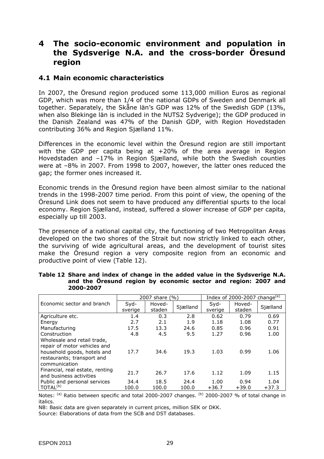## **4 The socio-economic environment and population in the Sydsverige N.A. and the cross-border Öresund region**

#### **4.1 Main economic characteristics**

In 2007, the Öresund region produced some 113,000 million Euros as regional GDP, which was more than 1/4 of the national GDPs of Sweden and Denmark all together. Separately, the Skåne län's GDP was 12% of the Swedish GDP (13%, when also Blekinge län is included in the NUTS2 Sydverige); the GDP produced in the Danish Zealand was 47% of the Danish GDP, with Region Hovedstaden contributing 36% and Region Sjælland 11%.

Differences in the economic level within the Öresund region are still important with the GDP per capita being at +20% of the area average in Region Hovedstaden and –17% in Region Sjælland, while both the Swedish counties were at –8% in 2007. From 1998 to 2007, however, the latter ones reduced the gap; the former ones increased it.

Economic trends in the Öresund region have been almost similar to the national trends in the 1998-2007 time period. From this point of view, the opening of the Öresund Link does not seem to have produced any differential spurts to the local economy. Region Sjælland, instead, suffered a slower increase of GDP per capita, especially up till 2003.

The presence of a national capital city, the functioning of two Metropolitan Areas developed on the two shores of the Strait but now strictly linked to each other, the surviving of wide agricultural areas, and the development of tourist sites make the Öresund region a very composite region from an economic and productive point of view (Table 12).

|                                 |         | 2007 share (%) |          | Index of 2000-2007 change <sup>(a)</sup> |         |          |  |
|---------------------------------|---------|----------------|----------|------------------------------------------|---------|----------|--|
| Economic sector and branch      | Syd-    | Hoved-         | Sjælland | Syd-                                     | Hoved-  | Sjælland |  |
|                                 | sverige | staden         |          | sverige                                  | staden  |          |  |
| Agriculture etc.                | 1.4     | 0.3            | 2.8      | 0.62                                     | 0.79    | 0.69     |  |
| Energy                          | 2.7     | 2.1            | 1.9      | 1.18                                     | 1.08    | 0.77     |  |
| Manufacturing                   | 17.5    | 13.3           | 24.6     | 0.85                                     | 0.96    | 0.91     |  |
| Construction                    | 4.8     | 4.5            | 9.5      | 1.27                                     | 0.96    | 1.00     |  |
| Wholesale and retail trade,     |         |                |          |                                          |         |          |  |
| repair of motor vehicles and    |         |                |          |                                          |         |          |  |
| household goods, hotels and     | 17.7    | 34.6           | 19.3     | 1.03                                     | 0.99    | 1.06     |  |
| restaurants; transport and      |         |                |          |                                          |         |          |  |
| communication                   |         |                |          |                                          |         |          |  |
| Financial, real estate, renting | 21.7    | 26.7           | 17.6     | 1.12                                     | 1.09    | 1.15     |  |
| and business activities         |         |                |          |                                          |         |          |  |
| Public and personal services    | 34.4    | 18.5           | 24.4     | 1.00                                     | 0.94    | 1.04     |  |
| TOTAL <sup>(b)</sup>            | 100.0   | 100.0          | 100.0    | $+36.7$                                  | $+39.0$ | $+37.3$  |  |

| Table 12 Share and index of change in the added value in the Sydsverige N.A. |  |  |  |  |
|------------------------------------------------------------------------------|--|--|--|--|
| and the Öresund region by economic sector and region: 2007 and               |  |  |  |  |
| 2000-2007                                                                    |  |  |  |  |

*Notes*: <sup>(a)</sup> Ratio between specific and total 2000-2007 changes. <sup>(b)</sup> 2000-2007 % of total change in italics.

*NB*: Basic data are given separately in current prices, million SEK or DKK.

*Source*: Elaborations of data from the SCB and DST databases.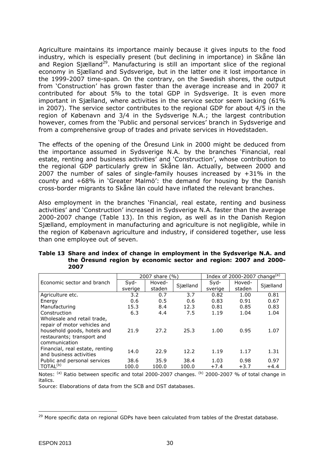Agriculture maintains its importance mainly because it gives inputs to the food industry, which is especially present (but declining in importance) in Skåne län and Region Sjælland<sup>29</sup>. Manufacturing is still an important slice of the regional economy in Sjælland and Sydsverige, but in the latter one it lost importance in the 1999-2007 time-span. On the contrary, on the Swedish shores, the output from 'Construction' has grown faster than the average increase and in 2007 it contributed for about 5% to the total GDP in Sydsverige. It is even more important in Sjælland, where activities in the service sector seem lacking (61% in 2007). The service sector contributes to the regional GDP for about 4/5 in the region of Købenavn and 3/4 in the Sydsverige N.A.; the largest contribution however, comes from the 'Public and personal services' branch in Sydsverige and from a comprehensive group of trades and private services in Hovedstaden.

The effects of the opening of the Öresund Link in 2000 might be deduced from the importance assumed in Sydsverige N.A. by the branches 'Financial, real estate, renting and business activities' and 'Construction', whose contribution to the regional GDP particularly grew in Skåne län. Actually, between 2000 and 2007 the number of sales of single-family houses increased by +31% in the county and +68% in 'Greater Malmö': the demand for housing by the Danish cross-border migrants to Skåne län could have inflated the relevant branches.

Also employment in the branches 'Financial, real estate, renting and business activities' and 'Construction' increased in Sydsverige N.A. faster than the average 2000-2007 change (Table 13). In this region, as well as in the Danish Region Sjælland, employment in manufacturing and agriculture is not negligible, while in the region of Købenavn agriculture and industry, if considered together, use less than one employee out of seven.

|                                 |         | 2007 share (%) |          | Index of 2000-2007 change <sup>(a)</sup> |        |          |  |
|---------------------------------|---------|----------------|----------|------------------------------------------|--------|----------|--|
| Economic sector and branch      | Syd-    | Hoved-         | Sjælland | Syd-                                     | Hoved- | Sjælland |  |
|                                 | sverige | staden         |          | sverige                                  | staden |          |  |
| Agriculture etc.                | 3.2     | 0.7            | 3.7      | 0.82                                     | 1.00   | 0.81     |  |
| Energy                          | 0.6     | 0.5            | 0.6      | 0.83                                     | 0.91   | 0.67     |  |
| Manufacturing                   | 15.3    | 8.4            | 12.3     | 0.81                                     | 0.85   | 0.83     |  |
| Construction                    | 6.3     | 4.4            | 7.5      | 1.19                                     | 1.04   | 1.04     |  |
| Wholesale and retail trade,     |         |                |          |                                          |        |          |  |
| repair of motor vehicles and    |         |                |          |                                          |        |          |  |
| household goods, hotels and     | 21.9    | 27.2           | 25.3     | 1.00                                     | 0.95   | 1.07     |  |
| restaurants; transport and      |         |                |          |                                          |        |          |  |
| communication                   |         |                |          |                                          |        |          |  |
| Financial, real estate, renting | 14.0    | 22.9           | 12.2     | 1.19                                     | 1.17   | 1.31     |  |
| and business activities         |         |                |          |                                          |        |          |  |
| Public and personal services    | 38.6    | 35.9           | 38.4     | 1.03                                     | 0.98   | 0.97     |  |
| TOTAL <sup>(b)</sup>            | 100.0   | 100.0          | 100.0    | $+7.4$                                   | $+3.7$ | $+4.4$   |  |

| Table 13 Share and index of change in employment in the Sydsverige N.A. and |
|-----------------------------------------------------------------------------|
| the Öresund region by economic sector and region: 2007 and 2000-            |
| 2007                                                                        |

*Notes*: <sup>(a)</sup> Ratio between specific and total 2000-2007 changes. <sup>(b)</sup> 2000-2007 % of total change in italics.

*Source*: Elaborations of data from the SCB and DST databases.

<sup>&</sup>lt;sup>29</sup> More specific data on regional GDPs have been calculated from tables of the Ørestat database.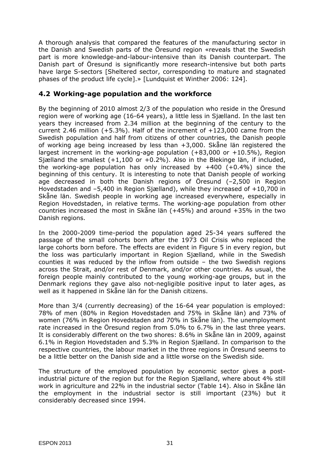A thorough analysis that compared the features of the manufacturing sector in the Danish and Swedish parts of the Öresund region «reveals that the Swedish part is more knowledge-and-labour-intensive than its Danish counterpart. The Danish part of Öresund is significantly more research-intensive but both parts have large S-sectors [Sheltered sector, corresponding to mature and stagnated phases of the product life cycle].» [Lundquist *et* Winther 2006: 124].

#### **4.2 Working-age population and the workforce**

By the beginning of 2010 almost 2/3 of the population who reside in the Öresund region were of working age (16-64 years), a little less in Sjælland. In the last ten years they increased from 2.34 million at the beginning of the century to the current 2.46 million  $(+5.3\%)$ . Half of the increment of  $+123,000$  came from the Swedish population and half from citizens of other countries, the Danish people of working age being increased by less than +3,000. Skåne län registered the largest increment in the working-age population (+83,000 or +10.5%), Region Sjælland the smallest  $(+1,100$  or  $+0.2\%)$ . Also in the Blekinge län, if included, the working-age population has only increased by  $+400$  ( $+0.4\%$ ) since the beginning of this century. It is interesting to note that Danish people of working age decreased in both the Danish regions of Öresund (–2,500 in Region Hovedstaden and –5,400 in Region Sjælland), while they increased of +10,700 in Skåne län. Swedish people in working age increased everywhere, especially in Region Hovedstaden, in relative terms. The working-age population from other countries increased the most in Skåne län (+45%) and around +35% in the two Danish regions.

In the 2000-2009 time-period the population aged 25-34 years suffered the passage of the small cohorts born after the 1973 Oil Crisis who replaced the large cohorts born before. The effects are evident in Figure 5 in every region, but the loss was particularly important in Region Sjælland, while in the Swedish counties it was reduced by the inflow from outside – the two Swedish regions across the Strait, and/or rest of Denmark, and/or other countries. As usual, the foreign people mainly contributed to the young working-age groups, but in the Denmark regions they gave also not-negligible positive input to later ages, as well as it happened in Skåne län for the Danish citizens.

More than 3/4 (currently decreasing) of the 16-64 year population is employed: 78% of men (80% in Region Hovedstaden and 75% in Skåne län) and 73% of women (76% in Region Hovedstaden and 70% in Skåne län). The unemployment rate increased in the Öresund region from 5.0% to 6.7% in the last three years. It is considerably different on the two shores: 8.6% in Skåne län in 2009, against 6.1% in Region Hovedstaden and 5.3% in Region Sjælland. In comparison to the respective countries, the labour market in the three regions in Öresund seems to be a little better on the Danish side and a little worse on the Swedish side.

The structure of the employed population by economic sector gives a postindustrial picture of the region but for the Region Sjælland, where about 4% still work in agriculture and 22% in the industrial sector (Table 14). Also in Skåne län the employment in the industrial sector is still important (23%) but it considerably decreased since 1994.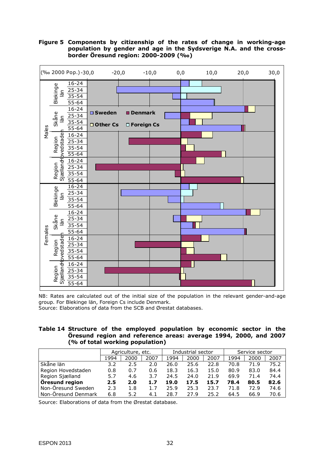**Figure 5 Components by citizenship of the rates of change in working-age population by gender and age in the Sydsverige N.A. and the crossborder Öresund region: 2000-2009 (‰)** 



*NB*: Rates are calculated out of the initial size of the population in the relevant gender-and-age group. For Blekinge län, Foreign Cs include Denmark.

*Source*: Elaborations of data from the SCB and Ørestat databases.

| Table 14 Structure of the employed population by economic sector in the |
|-------------------------------------------------------------------------|
| Oresund region and reference areas: average 1994, 2000, and 2007        |
| (% of total working population)                                         |

|                       | Agriculture, etc. |      |      | Industrial sector |      |      | Service sector |      |      |
|-----------------------|-------------------|------|------|-------------------|------|------|----------------|------|------|
|                       | 1994              | 2000 | 2007 | 1994              | 2000 | 2007 | 1994           | 2000 | 2007 |
| Skåne län             | 3.2               | 2.5  | 2.0  | 26.0              | 25.6 | 22.8 | 70.8           | 71.9 | 75.2 |
| Region Hovedstaden    | 0.8               | 0.7  | 0.6  | 18.3              | 16.3 | 15.0 | 80.9           | 83.0 | 84.4 |
| Region Sjælland       | 5.7               | 4.6  | 3.7  | 24.5              | 24.0 | 21.9 | 69.9           | 71.4 | 74.4 |
| <b>Oresund region</b> | 2.5               | 2.0  | 1.7  | 19.0              | 17.5 | 15.7 | 78.4           | 80.5 | 82.6 |
| Non-Öresund Sweden    | 2.3               | 1.8  | 1.7  | 25.9              | 25.3 | 23.7 | 71.8           | 72.9 | 74.6 |
| Non-Öresund Denmark   | 6.8               | 5.2  | 4.1  | 28.7              | 27.9 | 25.2 | 64.5           | 66.9 | 70.6 |

*Source*: Elaborations of data from the Ørestat database.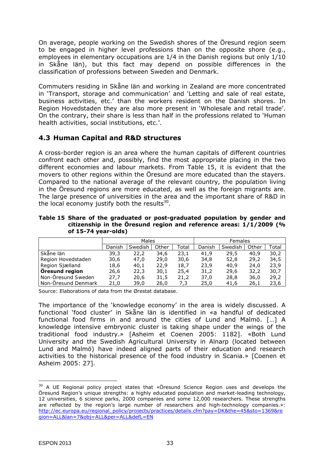On average, people working on the Swedish shores of the Öresund region seem to be engaged in higher level professions than on the opposite shore (e.g., employees in elementary occupations are 1/4 in the Danish regions but only 1/10 in Skåne län), but this fact may depend on possible differences in the classification of professions between Sweden and Denmark.

Commuters residing in Skåne län and working in Zealand are more concentrated in 'Transport, storage and communication' and 'Letting and sale of real estate, business activities, etc.' than the workers resident on the Danish shores. In Region Hovedstaden they are also more present in 'Wholesale and retail trade'. On the contrary, their share is less than half in the professions related to 'Human health activities, social institutions, etc.'.

#### **4.3 Human Capital and R&D structures**

A cross-border region is an area where the human capitals of different countries confront each other and, possibly, find the most appropriate placing in the two different economies and labour markets. From Table 15, it is evident that the movers to other regions within the Öresund are more educated than the stayers. Compared to the national average of the relevant country, the population living in the Öresund regions are more educated, as well as the foreign migrants are. The large presence of universities in the area and the important share of R&D in the local economy justify both the results $^{30}$ .

**Table 15 Share of the graduated or post-graduated population by gender and citizenship in the Öresund region and reference areas: 1/1/2009 (% of 15-74 year-olds)** 

|                       | Males  |         |       |       | Females |         |       |       |  |
|-----------------------|--------|---------|-------|-------|---------|---------|-------|-------|--|
|                       | Danish | Swedish | Other | Total | Danish  | Swedish | Other | Total |  |
| Skåne län             | 39,3   | 22,2    | 34,6  | 23,1  | 41.9    | 29,5    | 40,9  | 30,2  |  |
| Region Hovedstaden    | 30,6   | 47.0    | 29,0  | 30,6  | 34,8    | 52,8    | 29,2  | 34,5  |  |
| Region Sjælland       | 18,6   | 40,1    | 22,9  | 18,7  | 23,9    | 40.9    | 24,0  | 23,9  |  |
| <b>Oresund region</b> | 26,6   | 22,3    | 30,1  | 25,4  | 31,2    | 29,6    | 32,2  | 30,7  |  |
| Non-Öresund Sweden    | 27,7   | 20,6    | 31,5  | 21,2  | 37,0    | 28,8    | 36,0  | 29,2  |  |
| Non-Öresund Denmark   | 21,0   | 39.0    | 26,0  | 7,3   | 25,0    | 41,6    | 26,1  | 23,6  |  |

*Source*: Elaborations of data from the Ørestat database.

The importance of the 'knowledge economy' in the area is widely discussed. A functional 'food cluster' in Skåne län is identified in «a handful of dedicated functional food firms in and around the cities of Lund and Malmö. […] A knowledge intensive embryonic cluster is taking shape under the wings of the traditional food industry.» [Asheim *et* Coenen 2005: 1182]. «Both Lund University and the Swedish Agricultural University in Alnarp (located between Lund and Malmö) have indeed aligned parts of their education and research activities to the historical presence of the food industry in Scania.» [Coenen *et* Asheim 2005: 27].

<sup>&</sup>lt;sup>30</sup> A UE Regional policy project states that «Öresund Science Region uses and develops the Öresund Region's unique strengths: a highly educated population and market-leading technology, 12 universities, 6 science parks, 2000 companies and some 12,000 researchers. These strengths are reflected by the region's large number of researchers and high-technology companies.»: http://ec.europa.eu/regional\_policy/projects/practices/details.cfm?pay=DK&the=45&sto=1369&re gion=ALL&lan=7&obj=ALL&per=ALL&defL=EN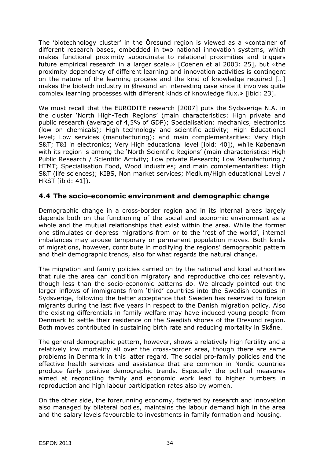The 'biotechnology cluster' in the Öresund region is viewed as a «container of different research bases, embedded in two national innovation systems, which makes functional proximity subordinate to relational proximities and triggers future empirical research in a larger scale.» [Coenen *et al* 2003: 25], but «the proximity dependency of different learning and innovation activities is contingent on the nature of the learning process and the kind of knowledge required […] makes the biotech industry in Øresund an interesting case since it involves quite complex learning processes with different kinds of knowledge flux.» [*ibid*: 23].

We must recall that the EURODITE research [2007] puts the Sydsverige N.A. in the cluster 'North High-Tech Regions' (main characteristics: High private and public research (average of 4,5% of GDP); Specialisation: mechanics, electronics (low on chemicals); High technology and scientific activity; High Educational level; Low services (manufacturing); and main complementarities: Very High S&T; T&I in electronics; Very High educational level [*ibid*: 40]), while Købenavn with its region is among the 'North Scientific Regions' (main characteristics: High Public Research / Scientific Activity; Low private Research; Low Manufacturing / HTMT; Specialisation Food, Wood industries; and main complementarities: High S&T (life sciences); KIBS, Non market services; Medium/High educational Level / HRST [*ibid*: 41]).

#### **4.4 The socio-economic environment and demographic change**

Demographic change in a cross-border region and in its internal areas largely depends both on the functioning of the social and economic environment as a whole and the mutual relationships that exist within the area. While the former one stimulates or depress migrations from or to the 'rest of the world', internal imbalances may arouse temporary or permanent population moves. Both kinds of migrations, however, contribute in modifying the regions' demographic pattern and their demographic trends, also for what regards the natural change.

The migration and family policies carried on by the national and local authorities that rule the area can condition migratory and reproductive choices relevantly, though less than the socio-economic patterns do. We already pointed out the larger inflows of immigrants from 'third' countries into the Swedish counties in Sydsverige, following the better acceptance that Sweden has reserved to foreign migrants during the last five years in respect to the Danish migration policy. Also the existing differentials in family welfare may have induced young people from Denmark to settle their residence on the Swedish shores of the Öresund region. Both moves contributed in sustaining birth rate and reducing mortality in Skåne.

The general demographic pattern, however, shows a relatively high fertility and a relatively low mortality all over the cross-border area, though there are same problems in Denmark in this latter regard. The social pro-family policies and the effective health services and assistance that are common in Nordic countries produce fairly positive demographic trends. Especially the political measures aimed at reconciling family and economic work lead to higher numbers in reproduction and high labour participation rates also by women.

On the other side, the forerunning economy, fostered by research and innovation also managed by bilateral bodies, maintains the labour demand high in the area and the salary levels favourable to investments in family formation and housing.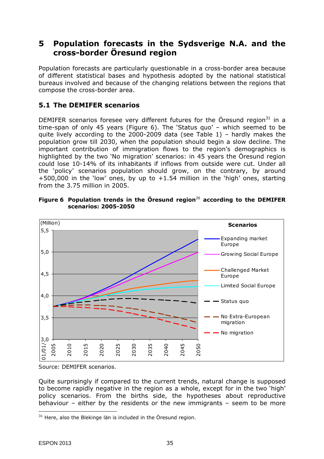## **5 Population forecasts in the Sydsverige N.A. and the cross-border Öresund region**

Population forecasts are particularly questionable in a cross-border area because of different statistical bases and hypothesis adopted by the national statistical bureaus involved and because of the changing relations between the regions that compose the cross-border area.

## **5.1 The DEMIFER scenarios**

DEMIFER scenarios foresee very different futures for the Öresund region<sup>31</sup> in a time-span of only 45 years (Figure 6). The 'Status quo' – which seemed to be quite lively according to the 2000-2009 data (see Table 1) – hardly makes the population grow till 2030, when the population should begin a slow decline. The important contribution of immigration flows to the region's demographics is highlighted by the two 'No migration' scenarios: in 45 years the Öresund region could lose 10-14% of its inhabitants if inflows from outside were cut. Under all the 'policy' scenarios population should grow, on the contrary, by around +500,000 in the 'low' ones, by up to +1.54 million in the 'high' ones, starting from the 3.75 million in 2005.



**Figure 6 Population trends in the Öresund region**<sup>26</sup> **according to the DEMIFER scenarios: 2005-2050** 

*Source*: DEMIFER scenarios.

Quite surprisingly if compared to the current trends, natural change is supposed to become rapidly negative in the region as a whole, except for in the two 'high' policy scenarios. From the births side, the hypotheses about reproductive behaviour – either by the residents or the new immigrants – seem to be more

 $31$  Here, also the Blekinge län is included in the Öresund region.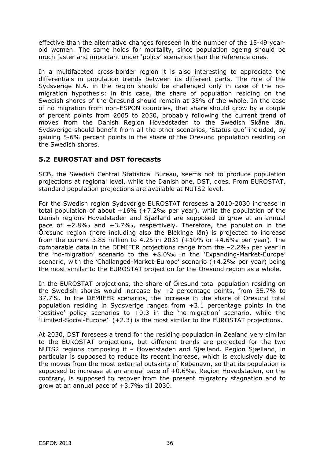effective than the alternative changes foreseen in the number of the 15-49 yearold women. The same holds for mortality, since population ageing should be much faster and important under 'policy' scenarios than the reference ones.

In a multifaceted cross-border region it is also interesting to appreciate the differentials in population trends between its different parts. The role of the Sydsverige N.A. in the region should be challenged only in case of the nomigration hypothesis: in this case, the share of population residing on the Swedish shores of the Öresund should remain at 35% of the whole. In the case of no migration from non-ESPON countries, that share should grow by a couple of percent points from 2005 to 2050, probably following the current trend of moves from the Danish Region Hovedstaden to the Swedish Skåne län. Sydsverige should benefit from all the other scenarios, 'Status quo' included, by gaining 5-6% percent points in the share of the Öresund population residing on the Swedish shores.

### **5.2 EUROSTAT and DST forecasts**

SCB, the Swedish Central Statistical Bureau, seems not to produce population projections at regional level, while the Danish one, DST, does. From EUROSTAT, standard population projections are available at NUTS2 level.

For the Swedish region Sydsverige EUROSTAT foresees a 2010-2030 increase in total population of about +16% (+7.2‰ per year), while the population of the Danish regions Hovedstaden and Sjælland are supposed to grow at an annual pace of +2.8‰ and +3.7‰, respectively. Therefore, the population in the Öresund region (here including also the Blekinge län) is projected to increase from the current 3.85 million to 4.25 in 2031  $(+10\%$  or  $+4.6\%$  per year). The comparable data in the DEMIFER projections range from the –2.2‰ per year in the 'no-migration' scenario to the +8.0‰ in the 'Expanding-Market-Europe' scenario, with the 'Challanged-Market-Europe' scenario (+4.2‰ per year) being the most similar to the EUROSTAT projection for the Öresund region as a whole.

In the EUROSTAT projections, the share of Öresund total population residing on the Swedish shores would increase by +2 percentage points, from 35.7% to 37.7%. In the DEMIFER scenarios, the increase in the share of Öresund total population residing in Sydsverige ranges from +3.1 percentage points in the 'positive' policy scenarios to +0.3 in the 'no-migration' scenario, while the 'Limited-Social-Europe' (+2.3) is the most similar to the EUROSTAT projections.

At 2030, DST foresees a trend for the residing population in Zealand very similar to the EUROSTAT projections, but different trends are projected for the two NUTS2 regions composing it – Hovedstaden and Sjælland. Region Sjælland, in particular is supposed to reduce its recent increase, which is exclusively due to the moves from the most external outskirts of Købenavn, so that its population is supposed to increase at an annual pace of +0.6‰. Region Hovedstaden, on the contrary, is supposed to recover from the present migratory stagnation and to grow at an annual pace of +3.7‰ till 2030.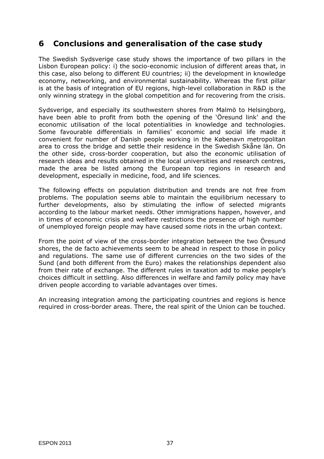## **6 Conclusions and generalisation of the case study**

The Swedish Sydsverige case study shows the importance of two pillars in the Lisbon European policy: i) the socio-economic inclusion of different areas that, in this case, also belong to different EU countries; ii) the development in knowledge economy, networking, and environmental sustainability. Whereas the first pillar is at the basis of integration of EU regions, high-level collaboration in R&D is the only winning strategy in the global competition and for recovering from the crisis.

Sydsverige, and especially its southwestern shores from Malmö to Helsingborg, have been able to profit from both the opening of the 'Öresund link' and the economic utilisation of the local potentialities in knowledge and technologies. Some favourable differentials in families' economic and social life made it convenient for number of Danish people working in the Købenavn metropolitan area to cross the bridge and settle their residence in the Swedish Skåne län. On the other side, cross-border cooperation, but also the economic utilisation of research ideas and results obtained in the local universities and research centres, made the area be listed among the European top regions in research and development, especially in medicine, food, and life sciences.

The following effects on population distribution and trends are not free from problems. The population seems able to maintain the equilibrium necessary to further developments, also by stimulating the inflow of selected migrants according to the labour market needs. Other immigrations happen, however, and in times of economic crisis and welfare restrictions the presence of high number of unemployed foreign people may have caused some riots in the urban context.

From the point of view of the cross-border integration between the two Öresund shores, the *de facto* achievements seem to be ahead in respect to those in policy and regulations. The same use of different currencies on the two sides of the Sund (and both different from the Euro) makes the relationships dependent also from their rate of exchange. The different rules in taxation add to make people's choices difficult in settling. Also differences in welfare and family policy may have driven people according to variable advantages over times.

An increasing integration among the participating countries and regions is hence required in cross-border areas. There, the real spirit of the Union can be touched.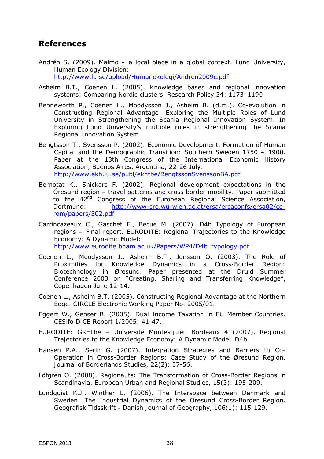## **References**

- Andrén S. (2009). *Malmö a local place in a global context*. Lund University, Human Ecology Division: http://www.lu.se/upload/Humanekologi/Andren2009c.pdf
- Asheim B.T., Coenen L. (2005). Knowledge bases and regional innovation systems: Comparing Nordic clusters. *Research Policy* 34: 1173–1190
- Benneworth P., Coenen L., Moodysson J., Asheim B. (d.m.). Co-evolution in Constructing Regional Advantage: Exploring the Multiple Roles of Lund University in Strengthening the Scania Regional Innovation System. In *Exploring Lund University's multiple roles in strengthening the Scania Regional Innovation System.*
- Bengtsson T., Svensson P. (2002). *Economic Development, Formation of Human Capital and the Demographic Transition: Southern Sweden 1750 – 1900*. Paper at the 13th Congress of the International Economic History Association, Buenos Aires, Argentina, 22-26 July: http://www.ekh.lu.se/publ/ekhtbe/BengtssonSvenssonBA.pdf
- Bernotat K., Snickars F. (2002). *Regional development expectations in the Öresund region – travel patterns and cross border mobility*. Paper submitted to the 42<sup>nd</sup> Congress of the European Regional Science Association, Dortmund: http://www-sre.wu-wien.ac.at/ersa/ersaconfs/ersa02/cdrom/papers/502.pdf
- Carrincazeaux C., Gaschet F., Becue M. (2007). *D4b Typology of European regions – Final report*. EURODITE: Regional Trajectories to the Knowledge Economy: A Dynamic Model: http://www.eurodite.bham.ac.uk/Papers/WP4/D4b\_typology.pdf
- Coenen L., Moodysson J., Asheim B.T., Jonsson O. (2003). *The Role of*
- *Proximities for Knowledge Dynamics in a Cross-Border Region: Biotechnology in Øresund*. Paper presented at the Druid Summer Conference 2003 on "Creating, Sharing and Transferring Knowledge", Copenhagen June 12-14.
- Coenen L., Asheim B.T. (2005). *Constructing Regional Advantage at the Northern Edge*. CIRCLE Electronic Working Paper No. 2005/01.
- Eggert W., Genser B. (2005). Dual Income Taxation in EU Member Countries. *CESifo DICE Report 1/2005*: 41-47.
- EURODITE: GREThA Université Montesquieu Bordeaux 4 (2007). *Regional Trajectories to the Knowledge Economy: A Dynamic Model*. D4b.
- Hansen P.A., Serin G. (2007). Integration Strategies and Barriers to Co-Operation in Cross-Border Regions: Case Study of the Øresund Region. *Journal of Borderlands Studies*, 22(2): 37-56.
- Löfgren O. (2008). Regionauts: The Transformation of Cross-Border Regions in Scandinavia. *European Urban and Regional Studies*, 15(3): 195-209.
- Lundquist K.J., Winther L. (2006). The Interspace between Denmark and Sweden: The Industrial Dynamics of the Öresund Cross-Border Region. *Geografisk Tidsskrift - Danish Journal of Geography*, 106(1): 115-129.